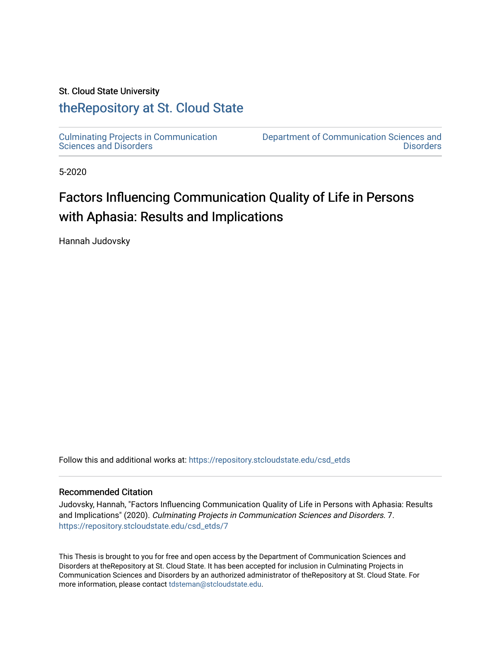#### St. Cloud State University

## [theRepository at St. Cloud State](https://repository.stcloudstate.edu/)

[Culminating Projects in Communication](https://repository.stcloudstate.edu/csd_etds)  [Sciences and Disorders](https://repository.stcloudstate.edu/csd_etds) 

[Department of Communication Sciences and](https://repository.stcloudstate.edu/csd)  **Disorders** 

5-2020

# Factors Influencing Communication Quality of Life in Persons with Aphasia: Results and Implications

Hannah Judovsky

Follow this and additional works at: [https://repository.stcloudstate.edu/csd\\_etds](https://repository.stcloudstate.edu/csd_etds?utm_source=repository.stcloudstate.edu%2Fcsd_etds%2F7&utm_medium=PDF&utm_campaign=PDFCoverPages)

#### Recommended Citation

Judovsky, Hannah, "Factors Influencing Communication Quality of Life in Persons with Aphasia: Results and Implications" (2020). Culminating Projects in Communication Sciences and Disorders. 7. [https://repository.stcloudstate.edu/csd\\_etds/7](https://repository.stcloudstate.edu/csd_etds/7?utm_source=repository.stcloudstate.edu%2Fcsd_etds%2F7&utm_medium=PDF&utm_campaign=PDFCoverPages)

This Thesis is brought to you for free and open access by the Department of Communication Sciences and Disorders at theRepository at St. Cloud State. It has been accepted for inclusion in Culminating Projects in Communication Sciences and Disorders by an authorized administrator of theRepository at St. Cloud State. For more information, please contact [tdsteman@stcloudstate.edu.](mailto:tdsteman@stcloudstate.edu)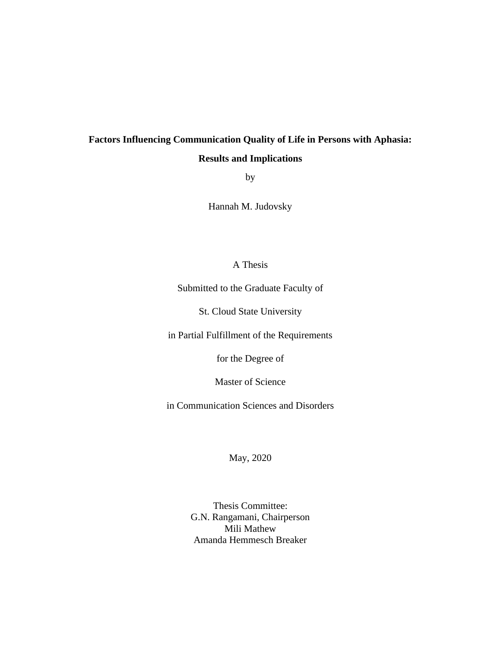## **Factors Influencing Communication Quality of Life in Persons with Aphasia: Results and Implications**

by

Hannah M. Judovsky

#### A Thesis

Submitted to the Graduate Faculty of

St. Cloud State University

in Partial Fulfillment of the Requirements

for the Degree of

Master of Science

in Communication Sciences and Disorders

May, 2020

Thesis Committee: G.N. Rangamani, Chairperson Mili Mathew Amanda Hemmesch Breaker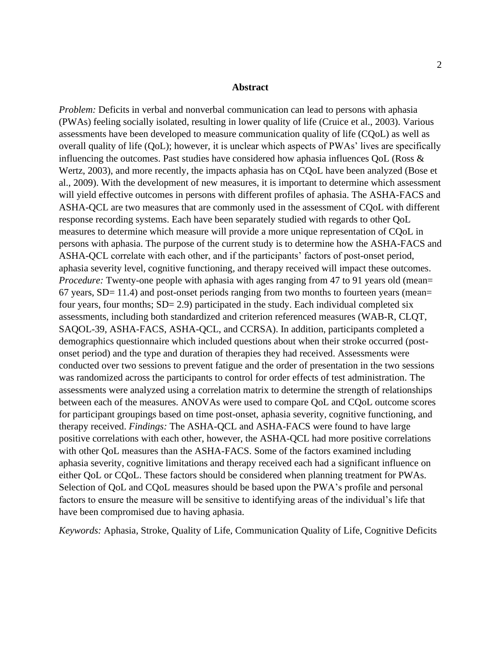#### **Abstract**

*Problem:* Deficits in verbal and nonverbal communication can lead to persons with aphasia (PWAs) feeling socially isolated, resulting in lower quality of life (Cruice et al., 2003). Various assessments have been developed to measure communication quality of life (CQoL) as well as overall quality of life (QoL); however, it is unclear which aspects of PWAs' lives are specifically influencing the outcomes. Past studies have considered how aphasia influences QoL (Ross & Wertz, 2003), and more recently, the impacts aphasia has on CQoL have been analyzed (Bose et al., 2009). With the development of new measures, it is important to determine which assessment will yield effective outcomes in persons with different profiles of aphasia. The ASHA-FACS and ASHA-QCL are two measures that are commonly used in the assessment of CQoL with different response recording systems. Each have been separately studied with regards to other QoL measures to determine which measure will provide a more unique representation of CQoL in persons with aphasia. The purpose of the current study is to determine how the ASHA-FACS and ASHA-QCL correlate with each other, and if the participants' factors of post-onset period, aphasia severity level, cognitive functioning, and therapy received will impact these outcomes. *Procedure:* Twenty-one people with aphasia with ages ranging from 47 to 91 years old (mean=  $67$  years, SD= 11.4) and post-onset periods ranging from two months to fourteen years (mean= four years, four months;  $SD = 2.9$ ) participated in the study. Each individual completed six assessments, including both standardized and criterion referenced measures (WAB-R, CLQT, SAQOL-39, ASHA-FACS, ASHA-QCL, and CCRSA). In addition, participants completed a demographics questionnaire which included questions about when their stroke occurred (postonset period) and the type and duration of therapies they had received. Assessments were conducted over two sessions to prevent fatigue and the order of presentation in the two sessions was randomized across the participants to control for order effects of test administration. The assessments were analyzed using a correlation matrix to determine the strength of relationships between each of the measures. ANOVAs were used to compare QoL and CQoL outcome scores for participant groupings based on time post-onset, aphasia severity, cognitive functioning, and therapy received. *Findings:* The ASHA-QCL and ASHA-FACS were found to have large positive correlations with each other, however, the ASHA-QCL had more positive correlations with other QoL measures than the ASHA-FACS. Some of the factors examined including aphasia severity, cognitive limitations and therapy received each had a significant influence on either QoL or CQoL. These factors should be considered when planning treatment for PWAs. Selection of QoL and CQoL measures should be based upon the PWA's profile and personal factors to ensure the measure will be sensitive to identifying areas of the individual's life that have been compromised due to having aphasia.

*Keywords:* Aphasia, Stroke, Quality of Life, Communication Quality of Life, Cognitive Deficits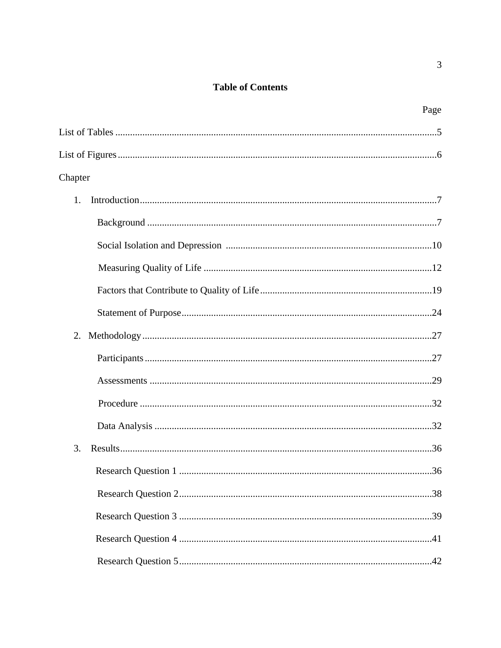## **Table of Contents**

| Page    |
|---------|
|         |
|         |
| Chapter |
| 1.      |
|         |
|         |
|         |
|         |
|         |
| 2.      |
|         |
|         |
|         |
|         |
| 3.      |
|         |
|         |
|         |
|         |
|         |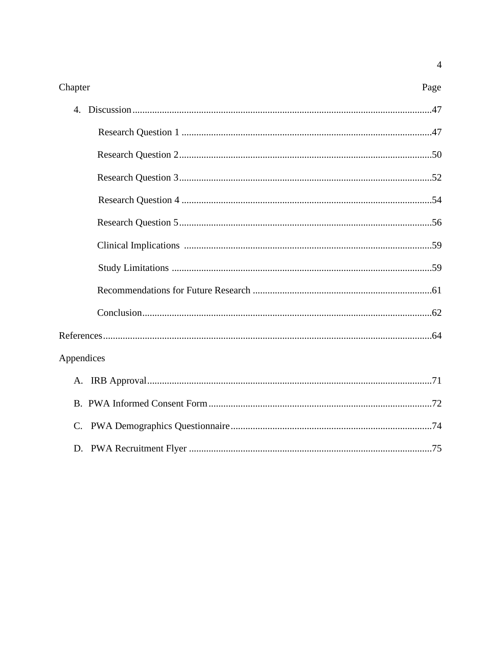| Chapter    | Page |
|------------|------|
|            |      |
|            |      |
|            |      |
|            |      |
|            |      |
|            |      |
|            |      |
|            |      |
|            |      |
|            |      |
|            |      |
| Appendices |      |
|            |      |
|            |      |
|            |      |
|            |      |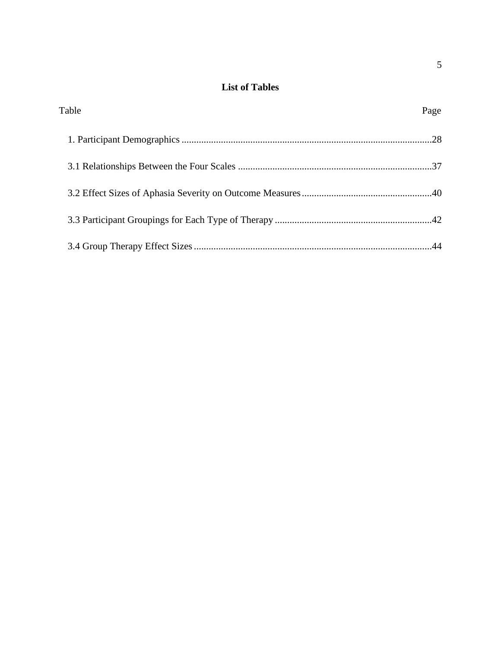### **List of Tables**

| Table | Page |
|-------|------|
|       |      |
|       |      |
|       |      |
|       |      |
|       |      |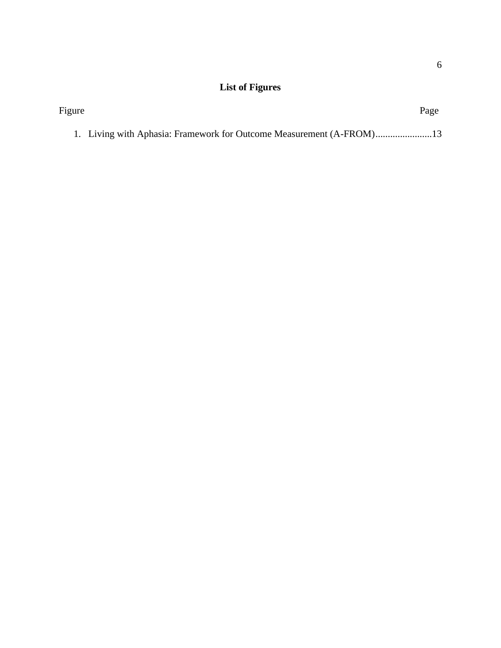## **List of Figures**

| Figure |                                                                    | Page |
|--------|--------------------------------------------------------------------|------|
|        | 1. Living with Aphasia: Framework for Outcome Measurement (A-FROM) |      |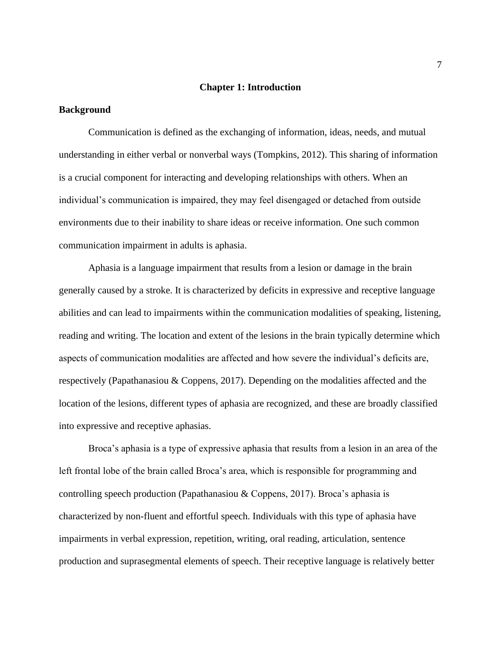#### **Chapter 1: Introduction**

#### **Background**

Communication is defined as the exchanging of information, ideas, needs, and mutual understanding in either verbal or nonverbal ways (Tompkins, 2012). This sharing of information is a crucial component for interacting and developing relationships with others. When an individual's communication is impaired, they may feel disengaged or detached from outside environments due to their inability to share ideas or receive information. One such common communication impairment in adults is aphasia.

Aphasia is a language impairment that results from a lesion or damage in the brain generally caused by a stroke. It is characterized by deficits in expressive and receptive language abilities and can lead to impairments within the communication modalities of speaking, listening, reading and writing. The location and extent of the lesions in the brain typically determine which aspects of communication modalities are affected and how severe the individual's deficits are, respectively (Papathanasiou & Coppens, 2017). Depending on the modalities affected and the location of the lesions, different types of aphasia are recognized, and these are broadly classified into expressive and receptive aphasias.

Broca's aphasia is a type of expressive aphasia that results from a lesion in an area of the left frontal lobe of the brain called Broca's area, which is responsible for programming and controlling speech production (Papathanasiou & Coppens, 2017). Broca's aphasia is characterized by non-fluent and effortful speech. Individuals with this type of aphasia have impairments in verbal expression, repetition, writing, oral reading, articulation, sentence production and suprasegmental elements of speech. Their receptive language is relatively better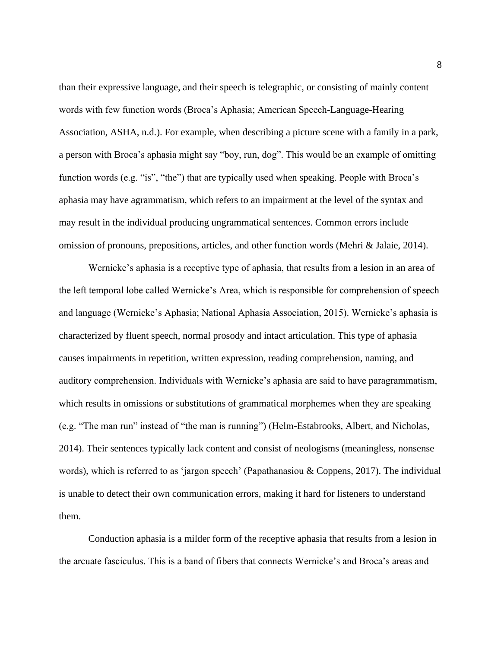than their expressive language, and their speech is telegraphic, or consisting of mainly content words with few function words (Broca's Aphasia; American Speech-Language-Hearing Association, ASHA, n.d.). For example, when describing a picture scene with a family in a park, a person with Broca's aphasia might say "boy, run, dog". This would be an example of omitting function words (e.g. "is", "the") that are typically used when speaking. People with Broca's aphasia may have agrammatism, which refers to an impairment at the level of the syntax and may result in the individual producing ungrammatical sentences. Common errors include omission of pronouns, prepositions, articles, and other function words (Mehri & Jalaie, 2014).

Wernicke's aphasia is a receptive type of aphasia, that results from a lesion in an area of the left temporal lobe called Wernicke's Area, which is responsible for comprehension of speech and language (Wernicke's Aphasia; National Aphasia Association, 2015). Wernicke's aphasia is characterized by fluent speech, normal prosody and intact articulation. This type of aphasia causes impairments in repetition, written expression, reading comprehension, naming, and auditory comprehension. Individuals with Wernicke's aphasia are said to have paragrammatism, which results in omissions or substitutions of grammatical morphemes when they are speaking (e.g. "The man run" instead of "the man is running") (Helm-Estabrooks, Albert, and Nicholas, 2014). Their sentences typically lack content and consist of neologisms (meaningless, nonsense words), which is referred to as 'jargon speech' (Papathanasiou & Coppens, 2017). The individual is unable to detect their own communication errors, making it hard for listeners to understand them.

Conduction aphasia is a milder form of the receptive aphasia that results from a lesion in the arcuate fasciculus. This is a band of fibers that connects Wernicke's and Broca's areas and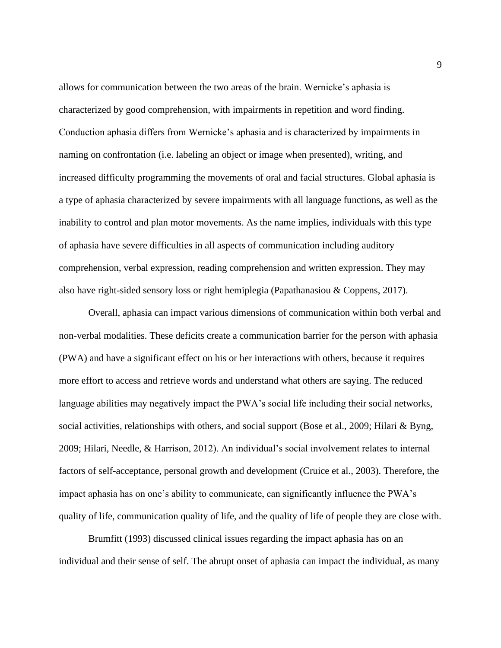allows for communication between the two areas of the brain. Wernicke's aphasia is characterized by good comprehension, with impairments in repetition and word finding. Conduction aphasia differs from Wernicke's aphasia and is characterized by impairments in naming on confrontation (i.e. labeling an object or image when presented), writing, and increased difficulty programming the movements of oral and facial structures. Global aphasia is a type of aphasia characterized by severe impairments with all language functions, as well as the inability to control and plan motor movements. As the name implies, individuals with this type of aphasia have severe difficulties in all aspects of communication including auditory comprehension, verbal expression, reading comprehension and written expression. They may also have right-sided sensory loss or right hemiplegia (Papathanasiou & Coppens, 2017).

Overall, aphasia can impact various dimensions of communication within both verbal and non-verbal modalities. These deficits create a communication barrier for the person with aphasia (PWA) and have a significant effect on his or her interactions with others, because it requires more effort to access and retrieve words and understand what others are saying. The reduced language abilities may negatively impact the PWA's social life including their social networks, social activities, relationships with others, and social support (Bose et al., 2009; Hilari & Byng, 2009; Hilari, Needle, & Harrison, 2012). An individual's social involvement relates to internal factors of self-acceptance, personal growth and development (Cruice et al., 2003). Therefore, the impact aphasia has on one's ability to communicate, can significantly influence the PWA's quality of life, communication quality of life, and the quality of life of people they are close with.

Brumfitt (1993) discussed clinical issues regarding the impact aphasia has on an individual and their sense of self. The abrupt onset of aphasia can impact the individual, as many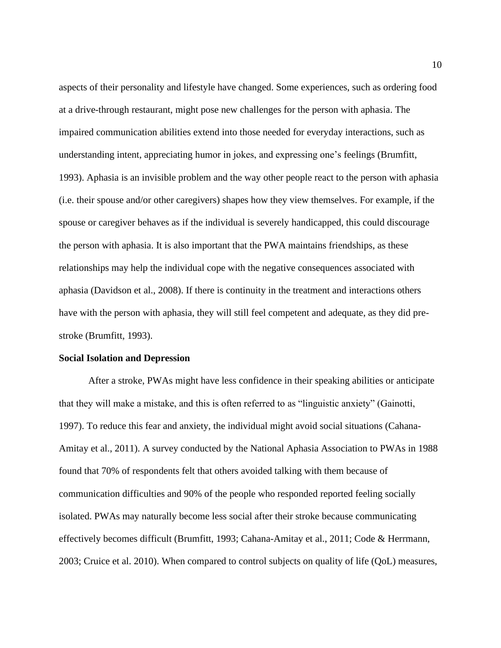aspects of their personality and lifestyle have changed. Some experiences, such as ordering food at a drive-through restaurant, might pose new challenges for the person with aphasia. The impaired communication abilities extend into those needed for everyday interactions, such as understanding intent, appreciating humor in jokes, and expressing one's feelings (Brumfitt, 1993). Aphasia is an invisible problem and the way other people react to the person with aphasia (i.e. their spouse and/or other caregivers) shapes how they view themselves. For example, if the spouse or caregiver behaves as if the individual is severely handicapped, this could discourage the person with aphasia. It is also important that the PWA maintains friendships, as these relationships may help the individual cope with the negative consequences associated with aphasia (Davidson et al., 2008). If there is continuity in the treatment and interactions others have with the person with aphasia, they will still feel competent and adequate, as they did prestroke (Brumfitt, 1993).

#### **Social Isolation and Depression**

After a stroke, PWAs might have less confidence in their speaking abilities or anticipate that they will make a mistake, and this is often referred to as "linguistic anxiety" (Gainotti, 1997). To reduce this fear and anxiety, the individual might avoid social situations (Cahana-Amitay et al., 2011). A survey conducted by the National Aphasia Association to PWAs in 1988 found that 70% of respondents felt that others avoided talking with them because of communication difficulties and 90% of the people who responded reported feeling socially isolated. PWAs may naturally become less social after their stroke because communicating effectively becomes difficult (Brumfitt, 1993; Cahana-Amitay et al., 2011; Code & Herrmann, 2003; Cruice et al. 2010). When compared to control subjects on quality of life (QoL) measures,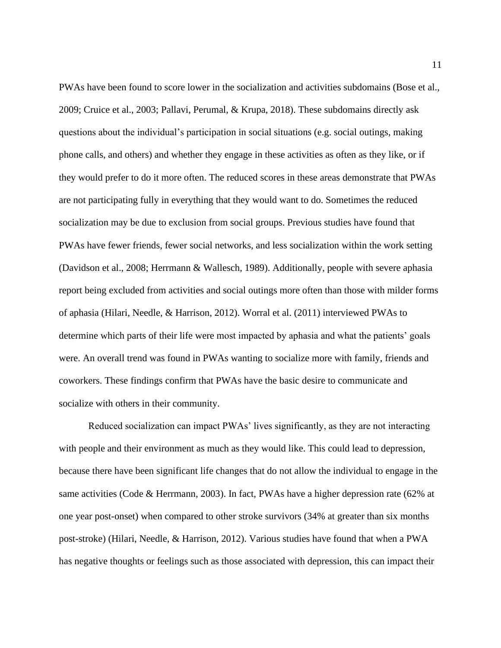PWAs have been found to score lower in the socialization and activities subdomains (Bose et al., 2009; Cruice et al., 2003; Pallavi, Perumal, & Krupa, 2018). These subdomains directly ask questions about the individual's participation in social situations (e.g. social outings, making phone calls, and others) and whether they engage in these activities as often as they like, or if they would prefer to do it more often. The reduced scores in these areas demonstrate that PWAs are not participating fully in everything that they would want to do. Sometimes the reduced socialization may be due to exclusion from social groups. Previous studies have found that PWAs have fewer friends, fewer social networks, and less socialization within the work setting (Davidson et al., 2008; Herrmann & Wallesch, 1989). Additionally, people with severe aphasia report being excluded from activities and social outings more often than those with milder forms of aphasia (Hilari, Needle, & Harrison, 2012). Worral et al. (2011) interviewed PWAs to determine which parts of their life were most impacted by aphasia and what the patients' goals were. An overall trend was found in PWAs wanting to socialize more with family, friends and coworkers. These findings confirm that PWAs have the basic desire to communicate and socialize with others in their community.

Reduced socialization can impact PWAs' lives significantly, as they are not interacting with people and their environment as much as they would like. This could lead to depression, because there have been significant life changes that do not allow the individual to engage in the same activities (Code & Herrmann, 2003). In fact, PWAs have a higher depression rate (62% at one year post-onset) when compared to other stroke survivors (34% at greater than six months post-stroke) (Hilari, Needle, & Harrison, 2012). Various studies have found that when a PWA has negative thoughts or feelings such as those associated with depression, this can impact their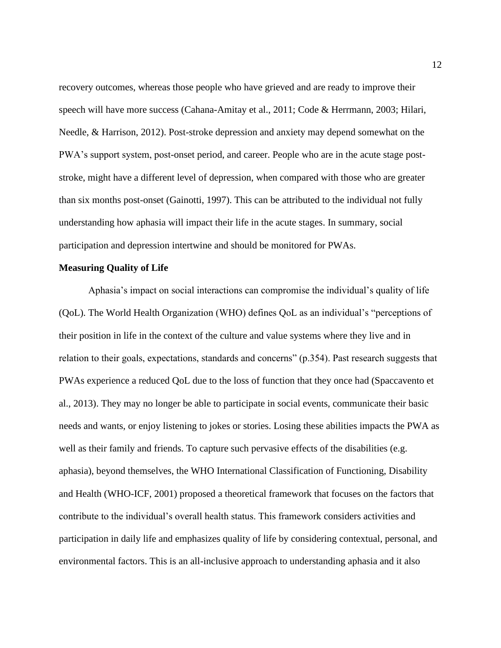recovery outcomes, whereas those people who have grieved and are ready to improve their speech will have more success (Cahana-Amitay et al., 2011; Code & Herrmann, 2003; Hilari, Needle, & Harrison, 2012). Post-stroke depression and anxiety may depend somewhat on the PWA's support system, post-onset period, and career. People who are in the acute stage poststroke, might have a different level of depression, when compared with those who are greater than six months post-onset (Gainotti, 1997). This can be attributed to the individual not fully understanding how aphasia will impact their life in the acute stages. In summary, social participation and depression intertwine and should be monitored for PWAs.

#### **Measuring Quality of Life**

Aphasia's impact on social interactions can compromise the individual's quality of life (QoL). The World Health Organization (WHO) defines QoL as an individual's "perceptions of their position in life in the context of the culture and value systems where they live and in relation to their goals, expectations, standards and concerns" (p.354). Past research suggests that PWAs experience a reduced QoL due to the loss of function that they once had (Spaccavento et al., 2013). They may no longer be able to participate in social events, communicate their basic needs and wants, or enjoy listening to jokes or stories. Losing these abilities impacts the PWA as well as their family and friends. To capture such pervasive effects of the disabilities (e.g. aphasia), beyond themselves, the WHO International Classification of Functioning, Disability and Health (WHO-ICF, 2001) proposed a theoretical framework that focuses on the factors that contribute to the individual's overall health status. This framework considers activities and participation in daily life and emphasizes quality of life by considering contextual, personal, and environmental factors. This is an all-inclusive approach to understanding aphasia and it also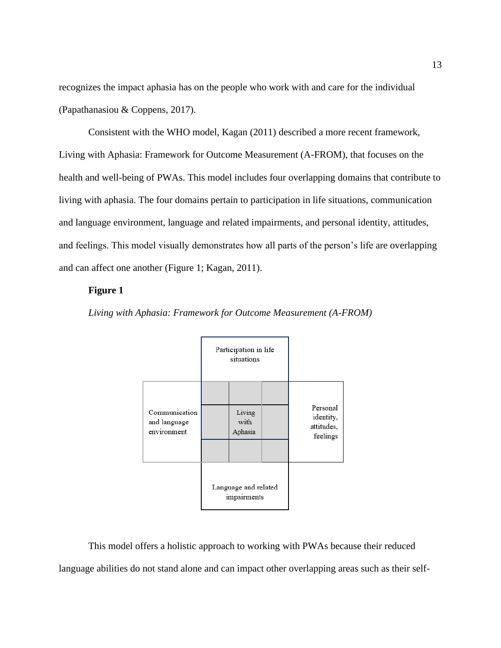recognizes the impact aphasia has on the people who work with and care for the individual (Papathanasiou & Coppens, 2017).

Consistent with the WHO model, Kagan (2011) described a more recent framework, Living with Aphasia: Framework for Outcome Measurement (A-FROM), that focuses on the health and well-being of PWAs. This model includes four overlapping domains that contribute to living with aphasia. The four domains pertain to participation in life situations, communication and language environment, language and related impairments, and personal identity, attitudes, and feelings. This model visually demonstrates how all parts of the person's life are overlapping and can affect one another (Figure 1; Kagan, 2011).

#### **Figure 1**



*Living with Aphasia: Framework for Outcome Measurement (A-FROM)*

This model offers a holistic approach to working with PWAs because their reduced language abilities do not stand alone and can impact other overlapping areas such as their self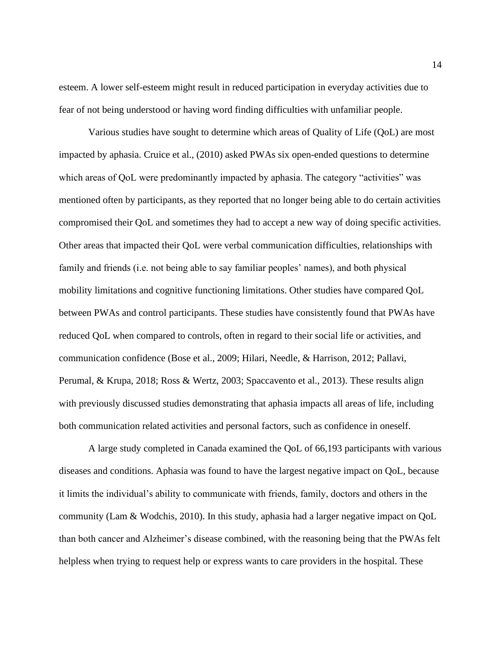esteem. A lower self-esteem might result in reduced participation in everyday activities due to fear of not being understood or having word finding difficulties with unfamiliar people.

Various studies have sought to determine which areas of Quality of Life (QoL) are most impacted by aphasia. Cruice et al., (2010) asked PWAs six open-ended questions to determine which areas of QoL were predominantly impacted by aphasia. The category "activities" was mentioned often by participants, as they reported that no longer being able to do certain activities compromised their QoL and sometimes they had to accept a new way of doing specific activities. Other areas that impacted their QoL were verbal communication difficulties, relationships with family and friends (i.e. not being able to say familiar peoples' names), and both physical mobility limitations and cognitive functioning limitations. Other studies have compared QoL between PWAs and control participants. These studies have consistently found that PWAs have reduced QoL when compared to controls, often in regard to their social life or activities, and communication confidence (Bose et al., 2009; Hilari, Needle, & Harrison, 2012; Pallavi, Perumal, & Krupa, 2018; Ross & Wertz, 2003; Spaccavento et al., 2013). These results align with previously discussed studies demonstrating that aphasia impacts all areas of life, including both communication related activities and personal factors, such as confidence in oneself.

A large study completed in Canada examined the QoL of 66,193 participants with various diseases and conditions. Aphasia was found to have the largest negative impact on QoL, because it limits the individual's ability to communicate with friends, family, doctors and others in the community (Lam & Wodchis, 2010). In this study, aphasia had a larger negative impact on QoL than both cancer and Alzheimer's disease combined, with the reasoning being that the PWAs felt helpless when trying to request help or express wants to care providers in the hospital. These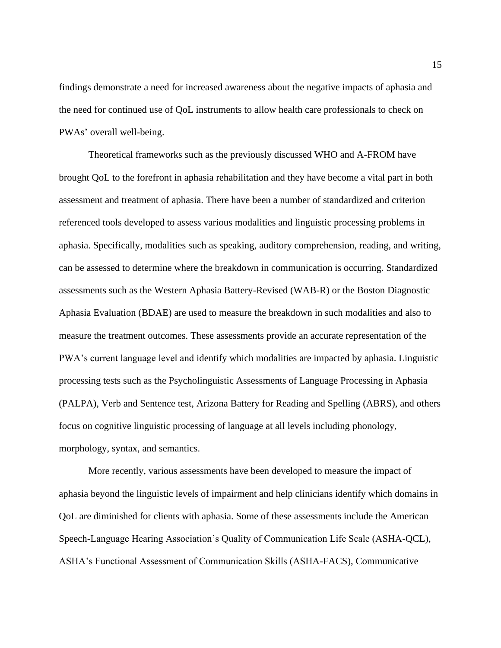findings demonstrate a need for increased awareness about the negative impacts of aphasia and the need for continued use of QoL instruments to allow health care professionals to check on PWAs' overall well-being.

Theoretical frameworks such as the previously discussed WHO and A-FROM have brought QoL to the forefront in aphasia rehabilitation and they have become a vital part in both assessment and treatment of aphasia. There have been a number of standardized and criterion referenced tools developed to assess various modalities and linguistic processing problems in aphasia. Specifically, modalities such as speaking, auditory comprehension, reading, and writing, can be assessed to determine where the breakdown in communication is occurring. Standardized assessments such as the Western Aphasia Battery-Revised (WAB-R) or the Boston Diagnostic Aphasia Evaluation (BDAE) are used to measure the breakdown in such modalities and also to measure the treatment outcomes. These assessments provide an accurate representation of the PWA's current language level and identify which modalities are impacted by aphasia. Linguistic processing tests such as the Psycholinguistic Assessments of Language Processing in Aphasia (PALPA), Verb and Sentence test, Arizona Battery for Reading and Spelling (ABRS), and others focus on cognitive linguistic processing of language at all levels including phonology, morphology, syntax, and semantics.

More recently, various assessments have been developed to measure the impact of aphasia beyond the linguistic levels of impairment and help clinicians identify which domains in QoL are diminished for clients with aphasia. Some of these assessments include the American Speech-Language Hearing Association's Quality of Communication Life Scale (ASHA-QCL), ASHA's Functional Assessment of Communication Skills (ASHA-FACS), Communicative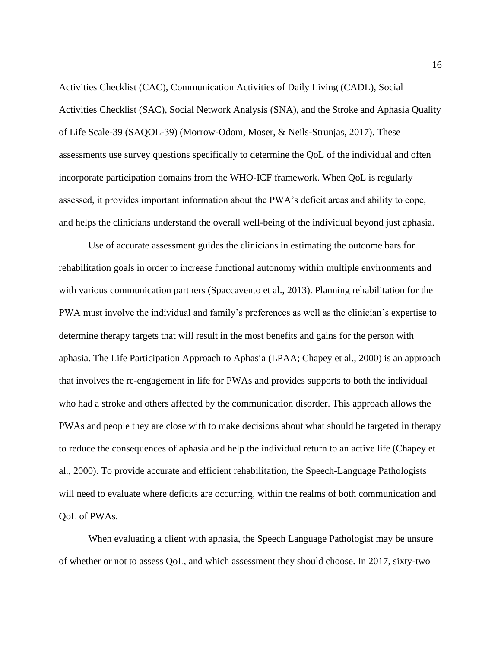Activities Checklist (CAC), Communication Activities of Daily Living (CADL), Social Activities Checklist (SAC), Social Network Analysis (SNA), and the Stroke and Aphasia Quality of Life Scale-39 (SAQOL-39) (Morrow-Odom, Moser, & Neils-Strunjas, 2017). These assessments use survey questions specifically to determine the QoL of the individual and often incorporate participation domains from the WHO-ICF framework. When QoL is regularly assessed, it provides important information about the PWA's deficit areas and ability to cope, and helps the clinicians understand the overall well-being of the individual beyond just aphasia.

Use of accurate assessment guides the clinicians in estimating the outcome bars for rehabilitation goals in order to increase functional autonomy within multiple environments and with various communication partners (Spaccavento et al., 2013). Planning rehabilitation for the PWA must involve the individual and family's preferences as well as the clinician's expertise to determine therapy targets that will result in the most benefits and gains for the person with aphasia. The Life Participation Approach to Aphasia (LPAA; Chapey et al., 2000) is an approach that involves the re-engagement in life for PWAs and provides supports to both the individual who had a stroke and others affected by the communication disorder. This approach allows the PWAs and people they are close with to make decisions about what should be targeted in therapy to reduce the consequences of aphasia and help the individual return to an active life (Chapey et al., 2000). To provide accurate and efficient rehabilitation, the Speech-Language Pathologists will need to evaluate where deficits are occurring, within the realms of both communication and QoL of PWAs.

When evaluating a client with aphasia, the Speech Language Pathologist may be unsure of whether or not to assess QoL, and which assessment they should choose. In 2017, sixty-two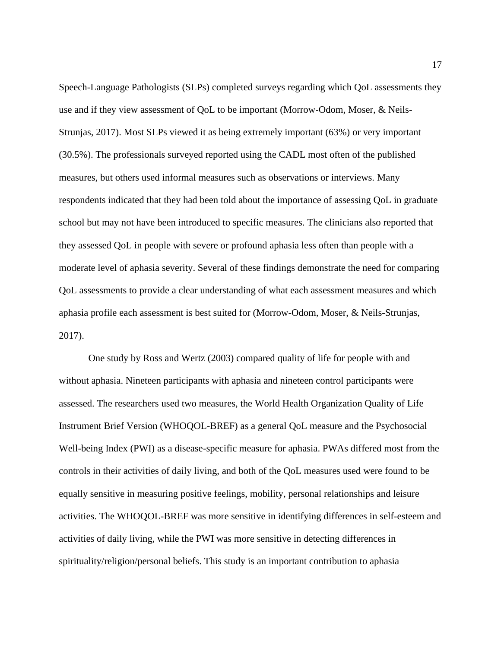Speech-Language Pathologists (SLPs) completed surveys regarding which QoL assessments they use and if they view assessment of QoL to be important (Morrow-Odom, Moser, & Neils-Strunjas, 2017). Most SLPs viewed it as being extremely important (63%) or very important (30.5%). The professionals surveyed reported using the CADL most often of the published measures, but others used informal measures such as observations or interviews. Many respondents indicated that they had been told about the importance of assessing QoL in graduate school but may not have been introduced to specific measures. The clinicians also reported that they assessed QoL in people with severe or profound aphasia less often than people with a moderate level of aphasia severity. Several of these findings demonstrate the need for comparing QoL assessments to provide a clear understanding of what each assessment measures and which aphasia profile each assessment is best suited for (Morrow-Odom, Moser, & Neils-Strunjas, 2017).

One study by Ross and Wertz (2003) compared quality of life for people with and without aphasia. Nineteen participants with aphasia and nineteen control participants were assessed. The researchers used two measures, the World Health Organization Quality of Life Instrument Brief Version (WHOQOL-BREF) as a general QoL measure and the Psychosocial Well-being Index (PWI) as a disease-specific measure for aphasia. PWAs differed most from the controls in their activities of daily living, and both of the QoL measures used were found to be equally sensitive in measuring positive feelings, mobility, personal relationships and leisure activities. The WHOQOL-BREF was more sensitive in identifying differences in self-esteem and activities of daily living, while the PWI was more sensitive in detecting differences in spirituality/religion/personal beliefs. This study is an important contribution to aphasia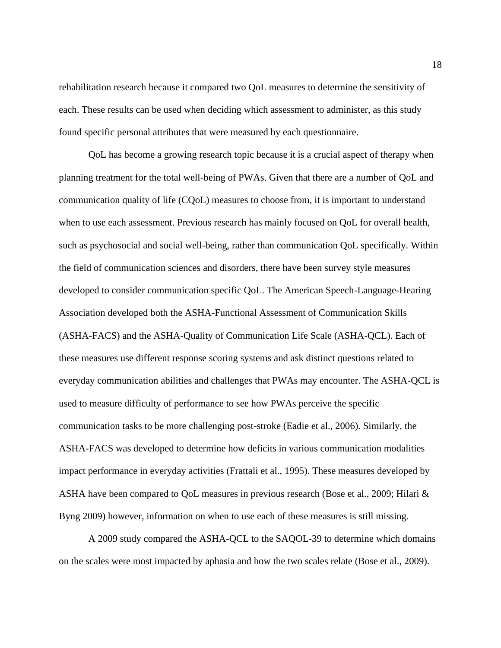rehabilitation research because it compared two QoL measures to determine the sensitivity of each. These results can be used when deciding which assessment to administer, as this study found specific personal attributes that were measured by each questionnaire.

QoL has become a growing research topic because it is a crucial aspect of therapy when planning treatment for the total well-being of PWAs. Given that there are a number of QoL and communication quality of life (CQoL) measures to choose from, it is important to understand when to use each assessment. Previous research has mainly focused on QoL for overall health, such as psychosocial and social well-being, rather than communication QoL specifically. Within the field of communication sciences and disorders, there have been survey style measures developed to consider communication specific QoL. The American Speech-Language-Hearing Association developed both the ASHA-Functional Assessment of Communication Skills (ASHA-FACS) and the ASHA-Quality of Communication Life Scale (ASHA-QCL). Each of these measures use different response scoring systems and ask distinct questions related to everyday communication abilities and challenges that PWAs may encounter. The ASHA-QCL is used to measure difficulty of performance to see how PWAs perceive the specific communication tasks to be more challenging post-stroke (Eadie et al., 2006). Similarly, the ASHA-FACS was developed to determine how deficits in various communication modalities impact performance in everyday activities (Frattali et al., 1995). These measures developed by ASHA have been compared to QoL measures in previous research (Bose et al., 2009; Hilari & Byng 2009) however, information on when to use each of these measures is still missing.

A 2009 study compared the ASHA-QCL to the SAQOL-39 to determine which domains on the scales were most impacted by aphasia and how the two scales relate (Bose et al., 2009).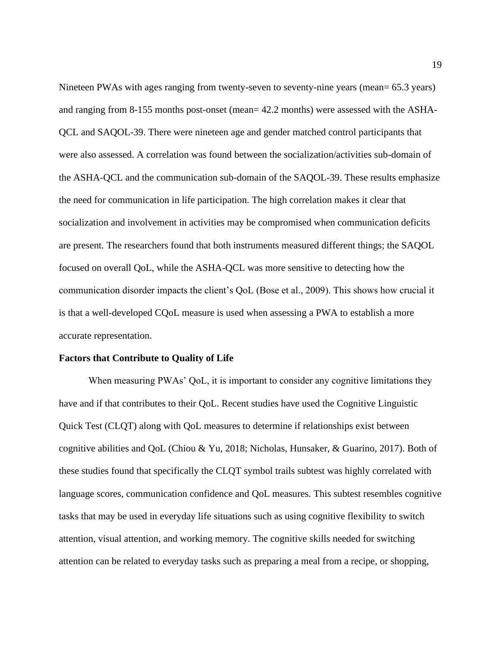Nineteen PWAs with ages ranging from twenty-seven to seventy-nine years (mean= 65.3 years) and ranging from 8-155 months post-onset (mean= 42.2 months) were assessed with the ASHA-QCL and SAQOL-39. There were nineteen age and gender matched control participants that were also assessed. A correlation was found between the socialization/activities sub-domain of the ASHA-QCL and the communication sub-domain of the SAQOL-39. These results emphasize the need for communication in life participation. The high correlation makes it clear that socialization and involvement in activities may be compromised when communication deficits are present. The researchers found that both instruments measured different things; the SAQOL focused on overall QoL, while the ASHA-QCL was more sensitive to detecting how the communication disorder impacts the client's QoL (Bose et al., 2009). This shows how crucial it is that a well-developed CQoL measure is used when assessing a PWA to establish a more accurate representation.

#### **Factors that Contribute to Quality of Life**

When measuring PWAs' QoL, it is important to consider any cognitive limitations they have and if that contributes to their QoL. Recent studies have used the Cognitive Linguistic Quick Test (CLQT) along with QoL measures to determine if relationships exist between cognitive abilities and QoL (Chiou & Yu, 2018; Nicholas, Hunsaker, & Guarino, 2017). Both of these studies found that specifically the CLQT symbol trails subtest was highly correlated with language scores, communication confidence and QoL measures. This subtest resembles cognitive tasks that may be used in everyday life situations such as using cognitive flexibility to switch attention, visual attention, and working memory. The cognitive skills needed for switching attention can be related to everyday tasks such as preparing a meal from a recipe, or shopping,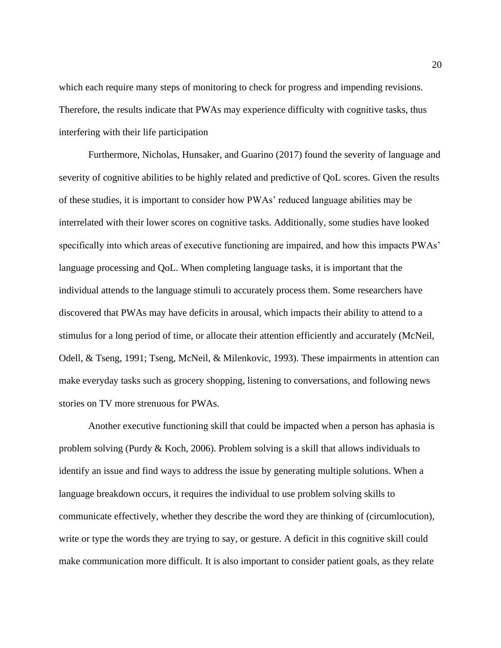which each require many steps of monitoring to check for progress and impending revisions. Therefore, the results indicate that PWAs may experience difficulty with cognitive tasks, thus interfering with their life participation

Furthermore, Nicholas, Hunsaker, and Guarino (2017) found the severity of language and severity of cognitive abilities to be highly related and predictive of QoL scores. Given the results of these studies, it is important to consider how PWAs' reduced language abilities may be interrelated with their lower scores on cognitive tasks. Additionally, some studies have looked specifically into which areas of executive functioning are impaired, and how this impacts PWAs' language processing and QoL. When completing language tasks, it is important that the individual attends to the language stimuli to accurately process them. Some researchers have discovered that PWAs may have deficits in arousal, which impacts their ability to attend to a stimulus for a long period of time, or allocate their attention efficiently and accurately (McNeil, Odell, & Tseng, 1991; Tseng, McNeil, & Milenkovic, 1993). These impairments in attention can make everyday tasks such as grocery shopping, listening to conversations, and following news stories on TV more strenuous for PWAs.

Another executive functioning skill that could be impacted when a person has aphasia is problem solving (Purdy & Koch, 2006). Problem solving is a skill that allows individuals to identify an issue and find ways to address the issue by generating multiple solutions. When a language breakdown occurs, it requires the individual to use problem solving skills to communicate effectively, whether they describe the word they are thinking of (circumlocution), write or type the words they are trying to say, or gesture. A deficit in this cognitive skill could make communication more difficult. It is also important to consider patient goals, as they relate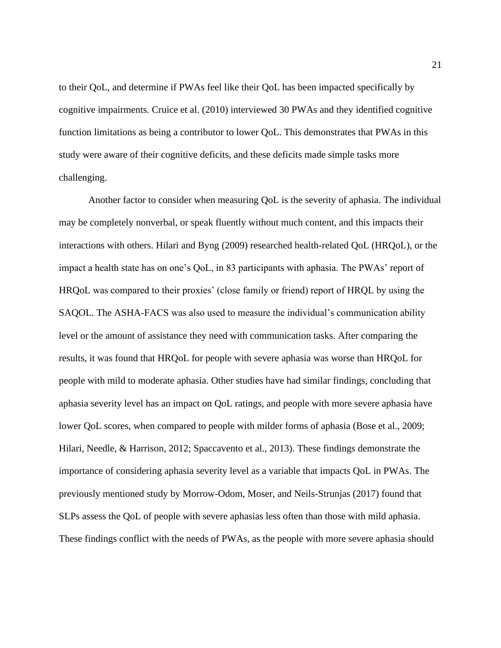to their QoL, and determine if PWAs feel like their QoL has been impacted specifically by cognitive impairments. Cruice et al. (2010) interviewed 30 PWAs and they identified cognitive function limitations as being a contributor to lower QoL. This demonstrates that PWAs in this study were aware of their cognitive deficits, and these deficits made simple tasks more challenging.

Another factor to consider when measuring QoL is the severity of aphasia. The individual may be completely nonverbal, or speak fluently without much content, and this impacts their interactions with others. Hilari and Byng (2009) researched health-related QoL (HRQoL), or the impact a health state has on one's QoL, in 83 participants with aphasia. The PWAs' report of HRQoL was compared to their proxies' (close family or friend) report of HRQL by using the SAQOL. The ASHA-FACS was also used to measure the individual's communication ability level or the amount of assistance they need with communication tasks. After comparing the results, it was found that HRQoL for people with severe aphasia was worse than HRQoL for people with mild to moderate aphasia. Other studies have had similar findings, concluding that aphasia severity level has an impact on QoL ratings, and people with more severe aphasia have lower QoL scores, when compared to people with milder forms of aphasia (Bose et al., 2009; Hilari, Needle, & Harrison, 2012; Spaccavento et al., 2013). These findings demonstrate the importance of considering aphasia severity level as a variable that impacts QoL in PWAs. The previously mentioned study by Morrow-Odom, Moser, and Neils-Strunjas (2017) found that SLPs assess the QoL of people with severe aphasias less often than those with mild aphasia. These findings conflict with the needs of PWAs, as the people with more severe aphasia should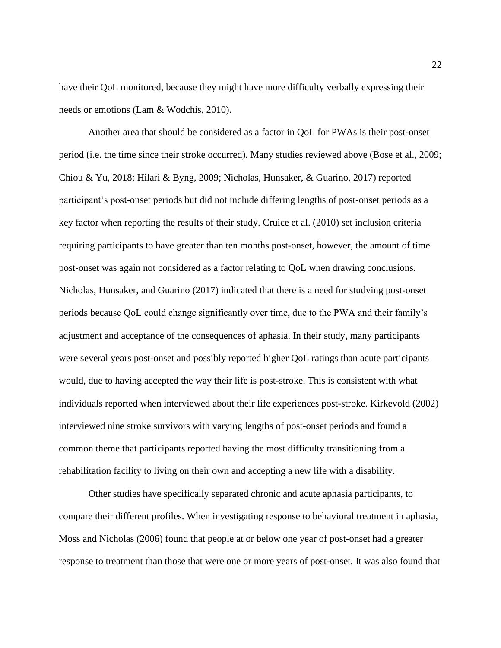have their QoL monitored, because they might have more difficulty verbally expressing their needs or emotions (Lam & Wodchis, 2010).

Another area that should be considered as a factor in QoL for PWAs is their post-onset period (i.e. the time since their stroke occurred). Many studies reviewed above (Bose et al., 2009; Chiou & Yu, 2018; Hilari & Byng, 2009; Nicholas, Hunsaker, & Guarino, 2017) reported participant's post-onset periods but did not include differing lengths of post-onset periods as a key factor when reporting the results of their study. Cruice et al. (2010) set inclusion criteria requiring participants to have greater than ten months post-onset, however, the amount of time post-onset was again not considered as a factor relating to QoL when drawing conclusions. Nicholas, Hunsaker, and Guarino (2017) indicated that there is a need for studying post-onset periods because QoL could change significantly over time, due to the PWA and their family's adjustment and acceptance of the consequences of aphasia. In their study, many participants were several years post-onset and possibly reported higher QoL ratings than acute participants would, due to having accepted the way their life is post-stroke. This is consistent with what individuals reported when interviewed about their life experiences post-stroke. Kirkevold (2002) interviewed nine stroke survivors with varying lengths of post-onset periods and found a common theme that participants reported having the most difficulty transitioning from a rehabilitation facility to living on their own and accepting a new life with a disability.

Other studies have specifically separated chronic and acute aphasia participants, to compare their different profiles. When investigating response to behavioral treatment in aphasia, Moss and Nicholas (2006) found that people at or below one year of post-onset had a greater response to treatment than those that were one or more years of post-onset. It was also found that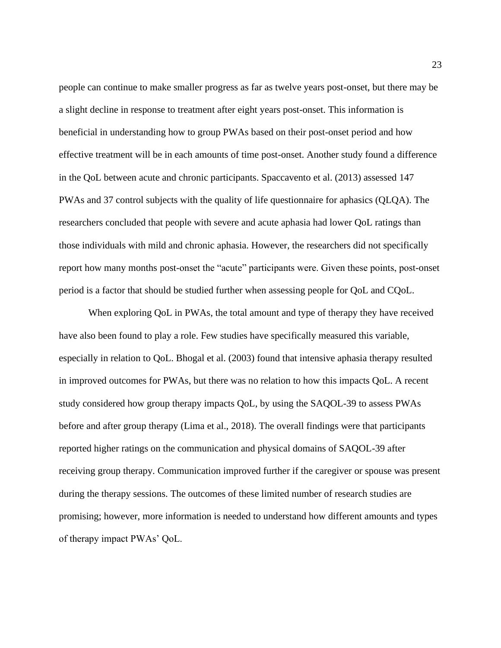people can continue to make smaller progress as far as twelve years post-onset, but there may be a slight decline in response to treatment after eight years post-onset. This information is beneficial in understanding how to group PWAs based on their post-onset period and how effective treatment will be in each amounts of time post-onset. Another study found a difference in the QoL between acute and chronic participants. Spaccavento et al. (2013) assessed 147 PWAs and 37 control subjects with the quality of life questionnaire for aphasics (QLQA). The researchers concluded that people with severe and acute aphasia had lower QoL ratings than those individuals with mild and chronic aphasia. However, the researchers did not specifically report how many months post-onset the "acute" participants were. Given these points, post-onset period is a factor that should be studied further when assessing people for QoL and CQoL.

When exploring QoL in PWAs, the total amount and type of therapy they have received have also been found to play a role. Few studies have specifically measured this variable, especially in relation to QoL. Bhogal et al. (2003) found that intensive aphasia therapy resulted in improved outcomes for PWAs, but there was no relation to how this impacts QoL. A recent study considered how group therapy impacts QoL, by using the SAQOL-39 to assess PWAs before and after group therapy (Lima et al., 2018). The overall findings were that participants reported higher ratings on the communication and physical domains of SAQOL-39 after receiving group therapy. Communication improved further if the caregiver or spouse was present during the therapy sessions. The outcomes of these limited number of research studies are promising; however, more information is needed to understand how different amounts and types of therapy impact PWAs' QoL.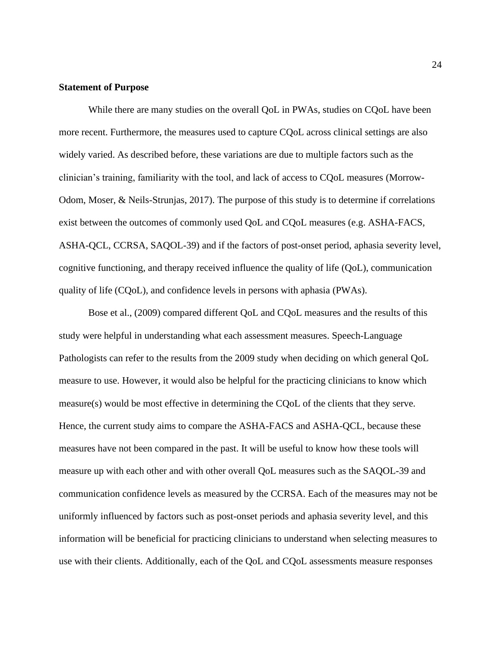#### **Statement of Purpose**

While there are many studies on the overall QoL in PWAs, studies on CQoL have been more recent. Furthermore, the measures used to capture CQoL across clinical settings are also widely varied. As described before, these variations are due to multiple factors such as the clinician's training, familiarity with the tool, and lack of access to CQoL measures (Morrow-Odom, Moser, & Neils-Strunjas, 2017). The purpose of this study is to determine if correlations exist between the outcomes of commonly used QoL and CQoL measures (e.g. ASHA-FACS, ASHA-QCL, CCRSA, SAQOL-39) and if the factors of post-onset period, aphasia severity level, cognitive functioning, and therapy received influence the quality of life (QoL), communication quality of life (CQoL), and confidence levels in persons with aphasia (PWAs).

Bose et al., (2009) compared different QoL and CQoL measures and the results of this study were helpful in understanding what each assessment measures. Speech-Language Pathologists can refer to the results from the 2009 study when deciding on which general QoL measure to use. However, it would also be helpful for the practicing clinicians to know which measure(s) would be most effective in determining the CQoL of the clients that they serve. Hence, the current study aims to compare the ASHA-FACS and ASHA-QCL, because these measures have not been compared in the past. It will be useful to know how these tools will measure up with each other and with other overall QoL measures such as the SAQOL-39 and communication confidence levels as measured by the CCRSA. Each of the measures may not be uniformly influenced by factors such as post-onset periods and aphasia severity level, and this information will be beneficial for practicing clinicians to understand when selecting measures to use with their clients. Additionally, each of the QoL and CQoL assessments measure responses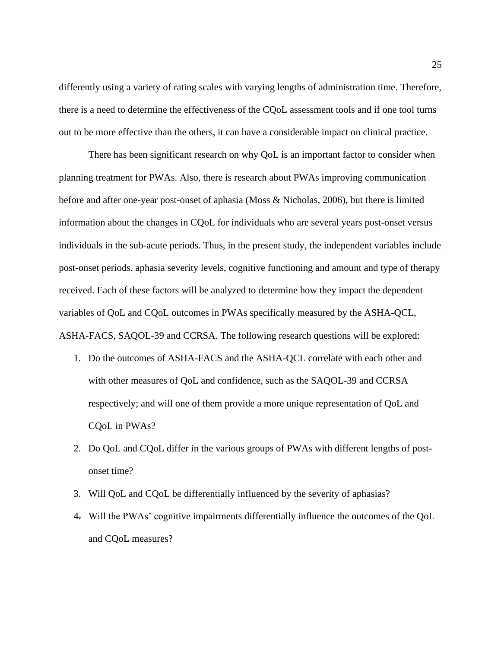differently using a variety of rating scales with varying lengths of administration time. Therefore, there is a need to determine the effectiveness of the CQoL assessment tools and if one tool turns out to be more effective than the others, it can have a considerable impact on clinical practice.

There has been significant research on why QoL is an important factor to consider when planning treatment for PWAs. Also, there is research about PWAs improving communication before and after one-year post-onset of aphasia (Moss & Nicholas, 2006), but there is limited information about the changes in CQoL for individuals who are several years post-onset versus individuals in the sub-acute periods. Thus, in the present study, the independent variables include post-onset periods, aphasia severity levels, cognitive functioning and amount and type of therapy received. Each of these factors will be analyzed to determine how they impact the dependent variables of QoL and CQoL outcomes in PWAs specifically measured by the ASHA-QCL, ASHA-FACS, SAQOL-39 and CCRSA. The following research questions will be explored:

- 1. Do the outcomes of ASHA-FACS and the ASHA-QCL correlate with each other and with other measures of QoL and confidence, such as the SAQOL-39 and CCRSA respectively; and will one of them provide a more unique representation of QoL and CQoL in PWAs?
- 2. Do QoL and CQoL differ in the various groups of PWAs with different lengths of postonset time?
- 3. Will QoL and CQoL be differentially influenced by the severity of aphasias?
- 4. Will the PWAs' cognitive impairments differentially influence the outcomes of the QoL and CQoL measures?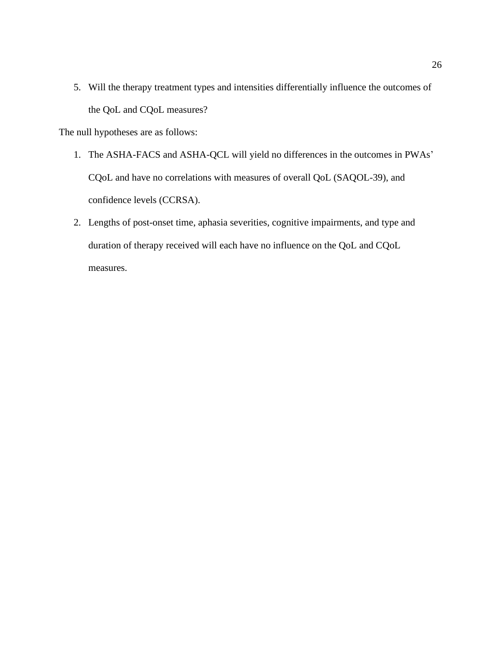5. Will the therapy treatment types and intensities differentially influence the outcomes of the QoL and CQoL measures?

The null hypotheses are as follows:

- 1. The ASHA-FACS and ASHA-QCL will yield no differences in the outcomes in PWAs' CQoL and have no correlations with measures of overall QoL (SAQOL-39), and confidence levels (CCRSA).
- 2. Lengths of post-onset time, aphasia severities, cognitive impairments, and type and duration of therapy received will each have no influence on the QoL and CQoL measures.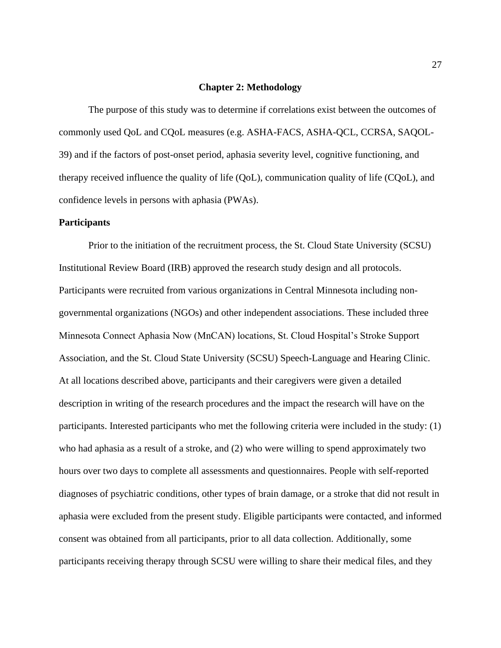#### **Chapter 2: Methodology**

The purpose of this study was to determine if correlations exist between the outcomes of commonly used QoL and CQoL measures (e.g. ASHA-FACS, ASHA-QCL, CCRSA, SAQOL-39) and if the factors of post-onset period, aphasia severity level, cognitive functioning, and therapy received influence the quality of life (QoL), communication quality of life (CQoL), and confidence levels in persons with aphasia (PWAs).

#### **Participants**

Prior to the initiation of the recruitment process, the St. Cloud State University (SCSU) Institutional Review Board (IRB) approved the research study design and all protocols. Participants were recruited from various organizations in Central Minnesota including nongovernmental organizations (NGOs) and other independent associations. These included three Minnesota Connect Aphasia Now (MnCAN) locations, St. Cloud Hospital's Stroke Support Association, and the St. Cloud State University (SCSU) Speech-Language and Hearing Clinic. At all locations described above, participants and their caregivers were given a detailed description in writing of the research procedures and the impact the research will have on the participants. Interested participants who met the following criteria were included in the study: (1) who had aphasia as a result of a stroke, and (2) who were willing to spend approximately two hours over two days to complete all assessments and questionnaires. People with self-reported diagnoses of psychiatric conditions, other types of brain damage, or a stroke that did not result in aphasia were excluded from the present study. Eligible participants were contacted, and informed consent was obtained from all participants, prior to all data collection. Additionally, some participants receiving therapy through SCSU were willing to share their medical files, and they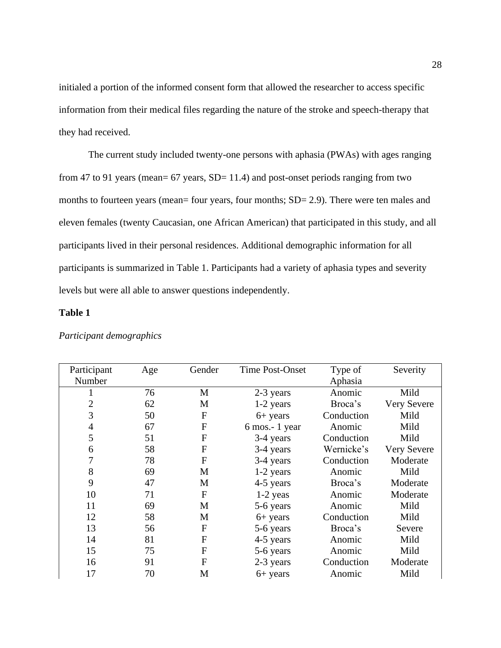initialed a portion of the informed consent form that allowed the researcher to access specific information from their medical files regarding the nature of the stroke and speech-therapy that they had received.

The current study included twenty-one persons with aphasia (PWAs) with ages ranging from 47 to 91 years (mean=  $67$  years, SD= 11.4) and post-onset periods ranging from two months to fourteen years (mean= four years, four months; SD= 2.9). There were ten males and eleven females (twenty Caucasian, one African American) that participated in this study, and all participants lived in their personal residences. Additional demographic information for all participants is summarized in Table 1. Participants had a variety of aphasia types and severity levels but were all able to answer questions independently.

#### **Table 1**

| Participant | Age | Gender           | <b>Time Post-Onset</b> | Type of    | Severity           |
|-------------|-----|------------------|------------------------|------------|--------------------|
| Number      |     |                  |                        | Aphasia    |                    |
|             | 76  | M                | 2-3 years              | Anomic     | Mild               |
| 2           | 62  | M                | $1-2$ years            | Broca's    | <b>Very Severe</b> |
| 3           | 50  | $\boldsymbol{F}$ | $6+$ years             | Conduction | Mild               |
| 4           | 67  | $\boldsymbol{F}$ | 6 mos.-1 year          | Anomic     | Mild               |
| 5           | 51  | $\boldsymbol{F}$ | 3-4 years              | Conduction | Mild               |
| 6           | 58  | ${\bf F}$        | 3-4 years              | Wernicke's | <b>Very Severe</b> |
| 7           | 78  | $\mathbf{F}$     | 3-4 years              | Conduction | Moderate           |
| 8           | 69  | M                | $1-2$ years            | Anomic     | Mild               |
| 9           | 47  | M                | 4-5 years              | Broca's    | Moderate           |
| 10          | 71  | $\boldsymbol{F}$ | 1-2 yeas               | Anomic     | Moderate           |
| 11          | 69  | M                | 5-6 years              | Anomic     | Mild               |
| 12          | 58  | M                | $6+$ years             | Conduction | Mild               |
| 13          | 56  | ${\bf F}$        | 5-6 years              | Broca's    | Severe             |
| 14          | 81  | F                | 4-5 years              | Anomic     | Mild               |
| 15          | 75  | F                | 5-6 years              | Anomic     | Mild               |
| 16          | 91  | F                | 2-3 years              | Conduction | Moderate           |
| 17          | 70  | M                | $6+$ years             | Anomic     | Mild               |

#### *Participant demographics*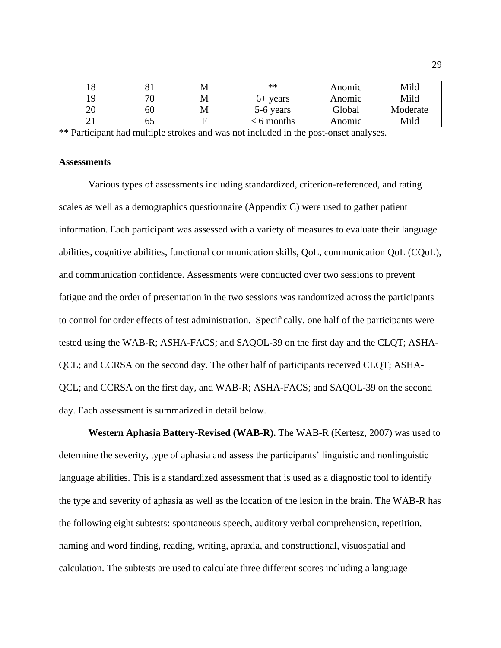| 18 |    | М | **         | Anomic | Mild     |
|----|----|---|------------|--------|----------|
| 19 | 70 | M | $6+$ years | Anomic | Mild     |
| 20 | 60 | М | 5-6 years  | Global | Moderate |
| 21 | 65 | F | < 6 months | Anomic | Mild     |

\*\* Participant had multiple strokes and was not included in the post-onset analyses.

#### **Assessments**

Various types of assessments including standardized, criterion-referenced, and rating scales as well as a demographics questionnaire (Appendix C) were used to gather patient information. Each participant was assessed with a variety of measures to evaluate their language abilities, cognitive abilities, functional communication skills, QoL, communication QoL (CQoL), and communication confidence. Assessments were conducted over two sessions to prevent fatigue and the order of presentation in the two sessions was randomized across the participants to control for order effects of test administration. Specifically, one half of the participants were tested using the WAB-R; ASHA-FACS; and SAQOL-39 on the first day and the CLQT; ASHA-QCL; and CCRSA on the second day. The other half of participants received CLQT; ASHA-QCL; and CCRSA on the first day, and WAB-R; ASHA-FACS; and SAQOL-39 on the second day. Each assessment is summarized in detail below.

**Western Aphasia Battery-Revised (WAB-R).** The WAB-R (Kertesz, 2007) was used to determine the severity, type of aphasia and assess the participants' linguistic and nonlinguistic language abilities. This is a standardized assessment that is used as a diagnostic tool to identify the type and severity of aphasia as well as the location of the lesion in the brain. The WAB-R has the following eight subtests: spontaneous speech, auditory verbal comprehension, repetition, naming and word finding, reading, writing, apraxia, and constructional, visuospatial and calculation. The subtests are used to calculate three different scores including a language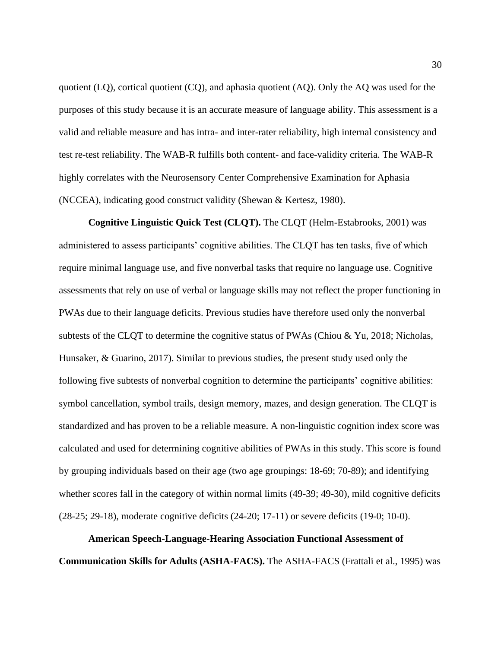quotient (LQ), cortical quotient (CQ), and aphasia quotient (AQ). Only the AQ was used for the purposes of this study because it is an accurate measure of language ability. This assessment is a valid and reliable measure and has intra- and inter-rater reliability, high internal consistency and test re-test reliability. The WAB-R fulfills both content- and face-validity criteria. The WAB-R highly correlates with the Neurosensory Center Comprehensive Examination for Aphasia (NCCEA), indicating good construct validity (Shewan & Kertesz, 1980).

**Cognitive Linguistic Quick Test (CLQT).** The CLQT (Helm-Estabrooks, 2001) was administered to assess participants' cognitive abilities. The CLQT has ten tasks, five of which require minimal language use, and five nonverbal tasks that require no language use. Cognitive assessments that rely on use of verbal or language skills may not reflect the proper functioning in PWAs due to their language deficits. Previous studies have therefore used only the nonverbal subtests of the CLQT to determine the cognitive status of PWAs (Chiou & Yu, 2018; Nicholas, Hunsaker, & Guarino, 2017). Similar to previous studies, the present study used only the following five subtests of nonverbal cognition to determine the participants' cognitive abilities: symbol cancellation, symbol trails, design memory, mazes, and design generation. The CLQT is standardized and has proven to be a reliable measure. A non-linguistic cognition index score was calculated and used for determining cognitive abilities of PWAs in this study. This score is found by grouping individuals based on their age (two age groupings: 18-69; 70-89); and identifying whether scores fall in the category of within normal limits (49-39; 49-30), mild cognitive deficits (28-25; 29-18), moderate cognitive deficits (24-20; 17-11) or severe deficits (19-0; 10-0).

**American Speech-Language-Hearing Association Functional Assessment of Communication Skills for Adults (ASHA-FACS).** The ASHA-FACS (Frattali et al., 1995) was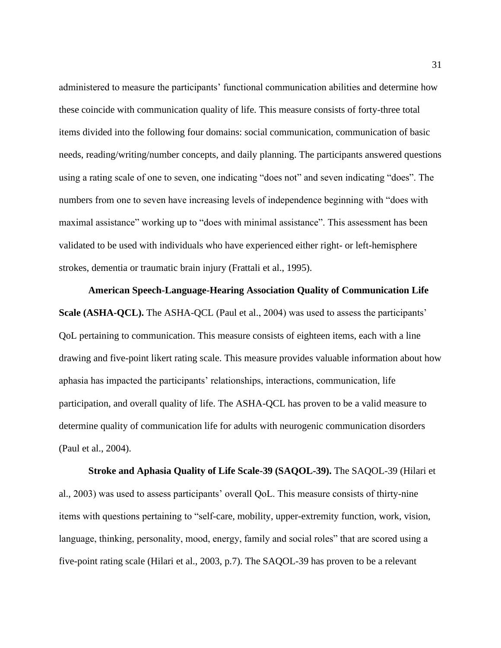administered to measure the participants' functional communication abilities and determine how these coincide with communication quality of life. This measure consists of forty-three total items divided into the following four domains: social communication, communication of basic needs, reading/writing/number concepts, and daily planning. The participants answered questions using a rating scale of one to seven, one indicating "does not" and seven indicating "does". The numbers from one to seven have increasing levels of independence beginning with "does with maximal assistance" working up to "does with minimal assistance". This assessment has been validated to be used with individuals who have experienced either right- or left-hemisphere strokes, dementia or traumatic brain injury (Frattali et al., 1995).

**American Speech-Language-Hearing Association Quality of Communication Life Scale (ASHA-QCL).** The ASHA-QCL (Paul et al., 2004) was used to assess the participants' QoL pertaining to communication. This measure consists of eighteen items, each with a line drawing and five-point likert rating scale. This measure provides valuable information about how aphasia has impacted the participants' relationships, interactions, communication, life participation, and overall quality of life. The ASHA-QCL has proven to be a valid measure to determine quality of communication life for adults with neurogenic communication disorders (Paul et al., 2004).

**Stroke and Aphasia Quality of Life Scale-39 (SAQOL-39).** The SAQOL-39 (Hilari et al., 2003) was used to assess participants' overall QoL. This measure consists of thirty-nine items with questions pertaining to "self-care, mobility, upper-extremity function, work, vision, language, thinking, personality, mood, energy, family and social roles" that are scored using a five-point rating scale (Hilari et al., 2003, p.7). The SAQOL-39 has proven to be a relevant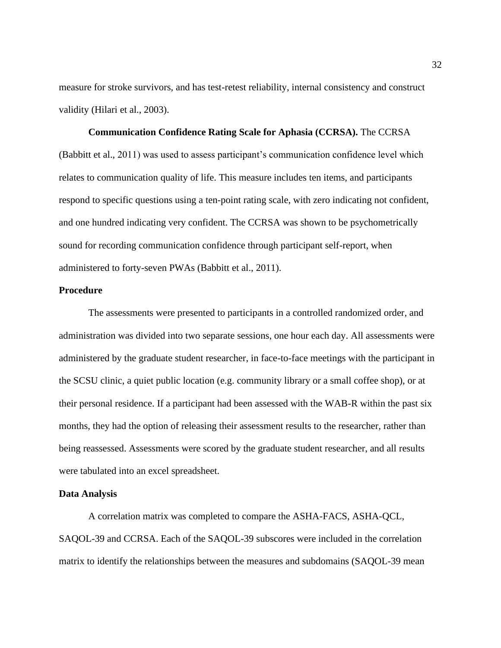measure for stroke survivors, and has test-retest reliability, internal consistency and construct validity (Hilari et al., 2003).

**Communication Confidence Rating Scale for Aphasia (CCRSA).** The CCRSA (Babbitt et al., 2011) was used to assess participant's communication confidence level which relates to communication quality of life. This measure includes ten items, and participants respond to specific questions using a ten-point rating scale, with zero indicating not confident, and one hundred indicating very confident. The CCRSA was shown to be psychometrically sound for recording communication confidence through participant self-report, when administered to forty-seven PWAs (Babbitt et al., 2011).

#### **Procedure**

The assessments were presented to participants in a controlled randomized order, and administration was divided into two separate sessions, one hour each day. All assessments were administered by the graduate student researcher, in face-to-face meetings with the participant in the SCSU clinic, a quiet public location (e.g. community library or a small coffee shop), or at their personal residence. If a participant had been assessed with the WAB-R within the past six months, they had the option of releasing their assessment results to the researcher, rather than being reassessed. Assessments were scored by the graduate student researcher, and all results were tabulated into an excel spreadsheet.

#### **Data Analysis**

A correlation matrix was completed to compare the ASHA-FACS, ASHA-QCL, SAQOL-39 and CCRSA. Each of the SAQOL-39 subscores were included in the correlation matrix to identify the relationships between the measures and subdomains (SAQOL-39 mean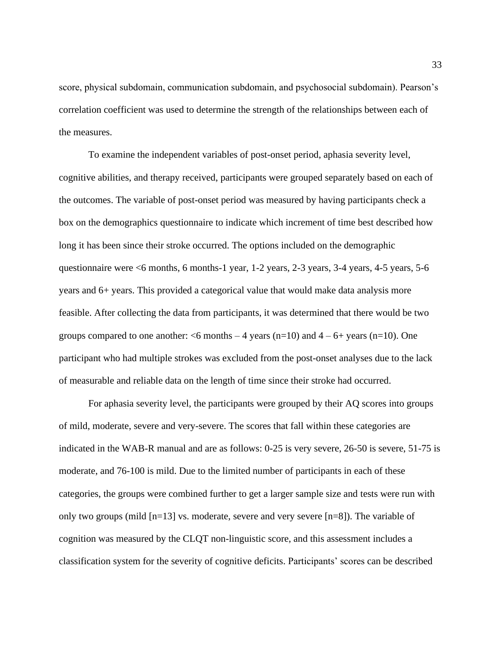score, physical subdomain, communication subdomain, and psychosocial subdomain). Pearson's correlation coefficient was used to determine the strength of the relationships between each of the measures.

To examine the independent variables of post-onset period, aphasia severity level, cognitive abilities, and therapy received, participants were grouped separately based on each of the outcomes. The variable of post-onset period was measured by having participants check a box on the demographics questionnaire to indicate which increment of time best described how long it has been since their stroke occurred. The options included on the demographic questionnaire were <6 months, 6 months-1 year, 1-2 years, 2-3 years, 3-4 years, 4-5 years, 5-6 years and 6+ years. This provided a categorical value that would make data analysis more feasible. After collecting the data from participants, it was determined that there would be two groups compared to one another:  $\leq 6$  months  $-4$  years (n=10) and  $4 - 6 +$  years (n=10). One participant who had multiple strokes was excluded from the post-onset analyses due to the lack of measurable and reliable data on the length of time since their stroke had occurred.

For aphasia severity level, the participants were grouped by their AQ scores into groups of mild, moderate, severe and very-severe. The scores that fall within these categories are indicated in the WAB-R manual and are as follows: 0-25 is very severe, 26-50 is severe, 51-75 is moderate, and 76-100 is mild. Due to the limited number of participants in each of these categories, the groups were combined further to get a larger sample size and tests were run with only two groups (mild [n=13] vs. moderate, severe and very severe [n=8]). The variable of cognition was measured by the CLQT non-linguistic score, and this assessment includes a classification system for the severity of cognitive deficits. Participants' scores can be described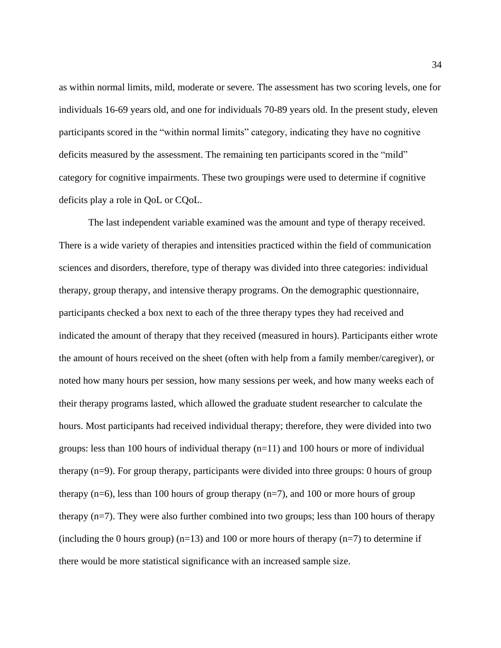as within normal limits, mild, moderate or severe. The assessment has two scoring levels, one for individuals 16-69 years old, and one for individuals 70-89 years old. In the present study, eleven participants scored in the "within normal limits" category, indicating they have no cognitive deficits measured by the assessment. The remaining ten participants scored in the "mild" category for cognitive impairments. These two groupings were used to determine if cognitive deficits play a role in QoL or CQoL.

The last independent variable examined was the amount and type of therapy received. There is a wide variety of therapies and intensities practiced within the field of communication sciences and disorders, therefore, type of therapy was divided into three categories: individual therapy, group therapy, and intensive therapy programs. On the demographic questionnaire, participants checked a box next to each of the three therapy types they had received and indicated the amount of therapy that they received (measured in hours). Participants either wrote the amount of hours received on the sheet (often with help from a family member/caregiver), or noted how many hours per session, how many sessions per week, and how many weeks each of their therapy programs lasted, which allowed the graduate student researcher to calculate the hours. Most participants had received individual therapy; therefore, they were divided into two groups: less than 100 hours of individual therapy  $(n=11)$  and 100 hours or more of individual therapy (n=9). For group therapy, participants were divided into three groups: 0 hours of group therapy  $(n=6)$ , less than 100 hours of group therapy  $(n=7)$ , and 100 or more hours of group therapy (n=7). They were also further combined into two groups; less than 100 hours of therapy (including the 0 hours group)  $(n=13)$  and 100 or more hours of therapy  $(n=7)$  to determine if there would be more statistical significance with an increased sample size.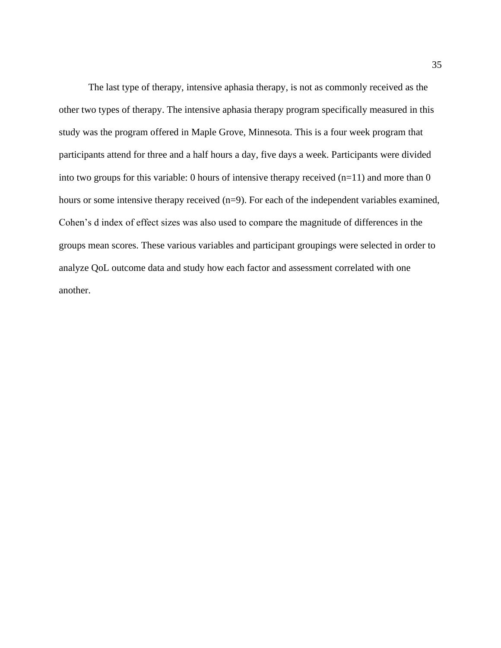The last type of therapy, intensive aphasia therapy, is not as commonly received as the other two types of therapy. The intensive aphasia therapy program specifically measured in this study was the program offered in Maple Grove, Minnesota. This is a four week program that participants attend for three and a half hours a day, five days a week. Participants were divided into two groups for this variable: 0 hours of intensive therapy received  $(n=11)$  and more than 0 hours or some intensive therapy received (n=9). For each of the independent variables examined, Cohen's d index of effect sizes was also used to compare the magnitude of differences in the groups mean scores. These various variables and participant groupings were selected in order to analyze QoL outcome data and study how each factor and assessment correlated with one another.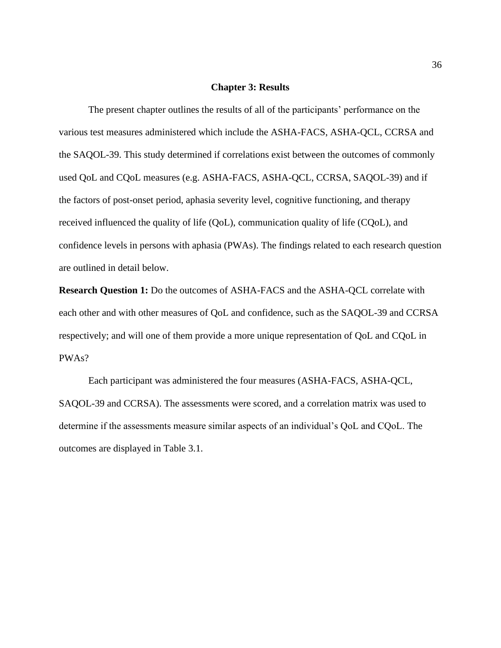#### **Chapter 3: Results**

The present chapter outlines the results of all of the participants' performance on the various test measures administered which include the ASHA-FACS, ASHA-QCL, CCRSA and the SAQOL-39. This study determined if correlations exist between the outcomes of commonly used QoL and CQoL measures (e.g. ASHA-FACS, ASHA-QCL, CCRSA, SAQOL-39) and if the factors of post-onset period, aphasia severity level, cognitive functioning, and therapy received influenced the quality of life (QoL), communication quality of life (CQoL), and confidence levels in persons with aphasia (PWAs). The findings related to each research question are outlined in detail below.

**Research Question 1:** Do the outcomes of ASHA-FACS and the ASHA-QCL correlate with each other and with other measures of QoL and confidence, such as the SAQOL-39 and CCRSA respectively; and will one of them provide a more unique representation of QoL and CQoL in PWAs?

Each participant was administered the four measures (ASHA-FACS, ASHA-QCL, SAQOL-39 and CCRSA). The assessments were scored, and a correlation matrix was used to determine if the assessments measure similar aspects of an individual's QoL and CQoL. The outcomes are displayed in Table 3.1.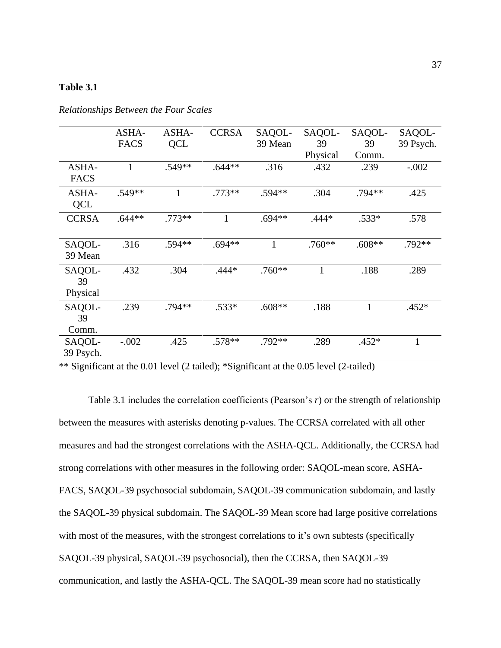## **Table 3.1**

|                          | ASHA-<br><b>FACS</b> | ASHA-<br>QCL | <b>CCRSA</b> | SAQOL-<br>39 Mean | SAQOL-<br>39 | SAQOL-<br>39 | SAQOL-<br>39 Psych. |
|--------------------------|----------------------|--------------|--------------|-------------------|--------------|--------------|---------------------|
|                          |                      |              |              |                   | Physical     | Comm.        |                     |
| ASHA-<br><b>FACS</b>     | 1                    | .549**       | $.644**$     | .316              | .432         | .239         | $-.002$             |
| ASHA-<br><b>QCL</b>      | $.549**$             | 1            | $.773**$     | .594**            | .304         | .794**       | .425                |
| <b>CCRSA</b>             | $.644**$             | $.773**$     | 1            | $.694**$          | $.444*$      | $.533*$      | .578                |
| SAQOL-<br>39 Mean        | .316                 | .594**       | $.694**$     | $\mathbf{1}$      | $.760**$     | $.608**$     | .792**              |
| SAQOL-<br>39<br>Physical | .432                 | .304         | $.444*$      | $.760**$          | $\mathbf{1}$ | .188         | .289                |
| SAQOL-<br>39<br>Comm.    | .239                 | .794**       | $.533*$      | $.608**$          | .188         | 1            | $.452*$             |
| SAQOL-<br>39 Psych.      | $-.002$              | .425         | $.578**$     | .792**            | .289         | $.452*$      | 1                   |

*Relationships Between the Four Scales*

\*\* Significant at the 0.01 level (2 tailed); \*Significant at the 0.05 level (2-tailed)

Table 3.1 includes the correlation coefficients (Pearson's *r*) or the strength of relationship between the measures with asterisks denoting p-values. The CCRSA correlated with all other measures and had the strongest correlations with the ASHA-QCL. Additionally, the CCRSA had strong correlations with other measures in the following order: SAQOL-mean score, ASHA-FACS, SAQOL-39 psychosocial subdomain, SAQOL-39 communication subdomain, and lastly the SAQOL-39 physical subdomain. The SAQOL-39 Mean score had large positive correlations with most of the measures, with the strongest correlations to it's own subtests (specifically SAQOL-39 physical, SAQOL-39 psychosocial), then the CCRSA, then SAQOL-39 communication, and lastly the ASHA-QCL. The SAQOL-39 mean score had no statistically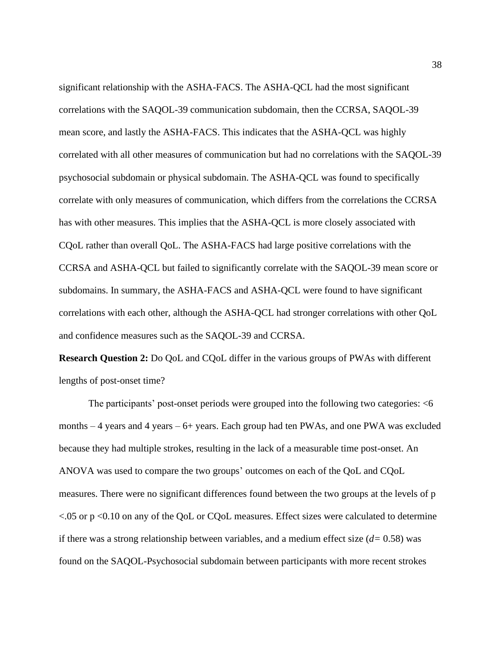significant relationship with the ASHA-FACS. The ASHA-QCL had the most significant correlations with the SAQOL-39 communication subdomain, then the CCRSA, SAQOL-39 mean score, and lastly the ASHA-FACS. This indicates that the ASHA-QCL was highly correlated with all other measures of communication but had no correlations with the SAQOL-39 psychosocial subdomain or physical subdomain. The ASHA-QCL was found to specifically correlate with only measures of communication, which differs from the correlations the CCRSA has with other measures. This implies that the ASHA-QCL is more closely associated with CQoL rather than overall QoL. The ASHA-FACS had large positive correlations with the CCRSA and ASHA-QCL but failed to significantly correlate with the SAQOL-39 mean score or subdomains. In summary, the ASHA-FACS and ASHA-QCL were found to have significant correlations with each other, although the ASHA-QCL had stronger correlations with other QoL and confidence measures such as the SAQOL-39 and CCRSA.

**Research Question 2:** Do QoL and CQoL differ in the various groups of PWAs with different lengths of post-onset time?

The participants' post-onset periods were grouped into the following two categories: <6 months – 4 years and 4 years – 6+ years. Each group had ten PWAs, and one PWA was excluded because they had multiple strokes, resulting in the lack of a measurable time post-onset. An ANOVA was used to compare the two groups' outcomes on each of the QoL and CQoL measures. There were no significant differences found between the two groups at the levels of p  $<.05$  or p $<.010$  on any of the QoL or CQoL measures. Effect sizes were calculated to determine if there was a strong relationship between variables, and a medium effect size (*d=* 0.58) was found on the SAQOL-Psychosocial subdomain between participants with more recent strokes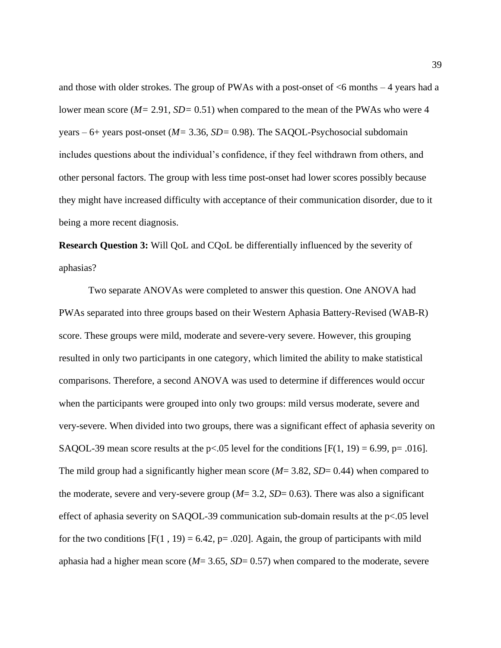and those with older strokes. The group of PWAs with a post-onset of  $<6$  months  $-4$  years had a lower mean score (*M=* 2.91, *SD=* 0.51) when compared to the mean of the PWAs who were 4 years – 6+ years post-onset (*M=* 3.36, *SD=* 0*.*98). The SAQOL-Psychosocial subdomain includes questions about the individual's confidence, if they feel withdrawn from others, and other personal factors. The group with less time post-onset had lower scores possibly because they might have increased difficulty with acceptance of their communication disorder, due to it being a more recent diagnosis.

**Research Question 3:** Will QoL and CQoL be differentially influenced by the severity of aphasias?

Two separate ANOVAs were completed to answer this question. One ANOVA had PWAs separated into three groups based on their Western Aphasia Battery-Revised (WAB-R) score. These groups were mild, moderate and severe-very severe. However, this grouping resulted in only two participants in one category, which limited the ability to make statistical comparisons. Therefore, a second ANOVA was used to determine if differences would occur when the participants were grouped into only two groups: mild versus moderate, severe and very-severe. When divided into two groups, there was a significant effect of aphasia severity on SAQOL-39 mean score results at the p<.05 level for the conditions  $[F(1, 19) = 6.99, p = .016]$ . The mild group had a significantly higher mean score (*M*= 3.82, *SD*= 0.44) when compared to the moderate, severe and very-severe group  $(M=3.2, SD=0.63)$ . There was also a significant effect of aphasia severity on SAQOL-39 communication sub-domain results at the p<.05 level for the two conditions  $[F(1, 19) = 6.42, p = .020]$ . Again, the group of participants with mild aphasia had a higher mean score (*M*= 3.65, *SD*= 0.57) when compared to the moderate, severe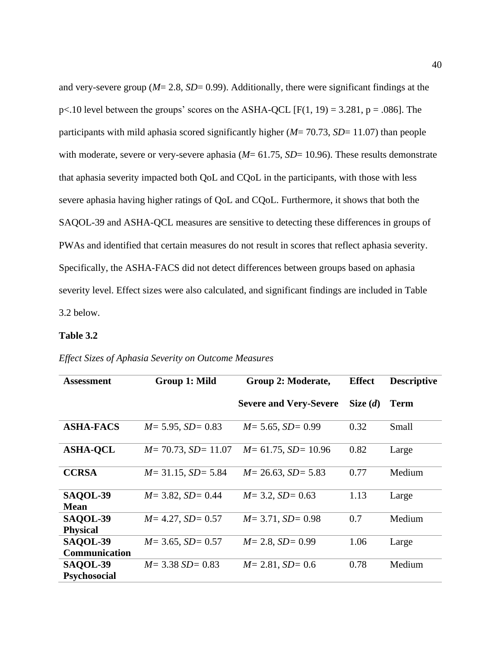and very-severe group (*M*= 2.8, *SD*= 0.99). Additionally, there were significant findings at the  $p<.10$  level between the groups' scores on the ASHA-QCL [F(1, 19) = 3.281, p = .086]. The participants with mild aphasia scored significantly higher (*M*= 70.73, *SD*= 11.07) than people with moderate, severe or very-severe aphasia ( $M = 61.75$ ,  $SD = 10.96$ ). These results demonstrate that aphasia severity impacted both QoL and CQoL in the participants, with those with less severe aphasia having higher ratings of QoL and CQoL. Furthermore, it shows that both the SAQOL-39 and ASHA-QCL measures are sensitive to detecting these differences in groups of PWAs and identified that certain measures do not result in scores that reflect aphasia severity. Specifically, the ASHA-FACS did not detect differences between groups based on aphasia severity level. Effect sizes were also calculated, and significant findings are included in Table 3.2 below.

#### **Table 3.2**

| <b>Assessment</b>                  | Group 1: Mild              | Group 2: Moderate,            | <b>Effect</b> | <b>Descriptive</b> |
|------------------------------------|----------------------------|-------------------------------|---------------|--------------------|
|                                    |                            | <b>Severe and Very-Severe</b> | Size $(d)$    | Term               |
| <b>ASHA-FACS</b>                   | $M = 5.95$ , $SD = 0.83$   | $M = 5.65$ , $SD = 0.99$      | 0.32          | Small              |
| <b>ASHA-QCL</b>                    | $M = 70.73$ , $SD = 11.07$ | $M = 61.75$ , $SD = 10.96$    | 0.82          | Large              |
| <b>CCRSA</b>                       | $M = 31.15$ , $SD = 5.84$  | $M = 26.63$ , $SD = 5.83$     | 0.77          | Medium             |
| SAQOL-39<br><b>Mean</b>            | $M = 3.82$ , $SD = 0.44$   | $M = 3.2$ , $SD = 0.63$       | 1.13          | Large              |
| <b>SAQOL-39</b><br><b>Physical</b> | $M = 4.27$ , $SD = 0.57$   | $M = 3.71$ , $SD = 0.98$      | 0.7           | Medium             |
| <b>SAQOL-39</b><br>Communication   | $M = 3.65$ , $SD = 0.57$   | $M = 2.8$ , $SD = 0.99$       | 1.06          | Large              |
| SAQOL-39<br><b>Psychosocial</b>    | $M = 3.38$ SD = 0.83       | $M = 2.81$ , $SD = 0.6$       | 0.78          | Medium             |

## *Effect Sizes of Aphasia Severity on Outcome Measures*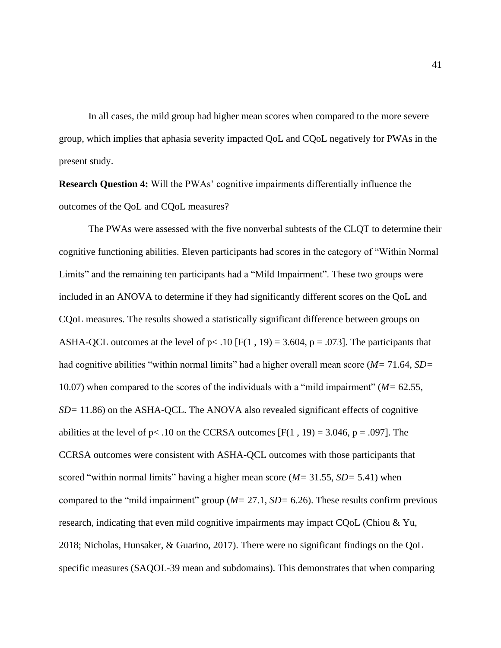In all cases, the mild group had higher mean scores when compared to the more severe group, which implies that aphasia severity impacted QoL and CQoL negatively for PWAs in the present study.

**Research Question 4:** Will the PWAs' cognitive impairments differentially influence the outcomes of the QoL and CQoL measures?

The PWAs were assessed with the five nonverbal subtests of the CLQT to determine their cognitive functioning abilities. Eleven participants had scores in the category of "Within Normal Limits" and the remaining ten participants had a "Mild Impairment". These two groups were included in an ANOVA to determine if they had significantly different scores on the QoL and CQoL measures. The results showed a statistically significant difference between groups on ASHA-QCL outcomes at the level of  $p < .10$  [F(1, 19) = 3.604, p = .073]. The participants that had cognitive abilities "within normal limits" had a higher overall mean score (*M=* 71.64, *SD=*  10.07) when compared to the scores of the individuals with a "mild impairment" (*M=* 62.55, *SD*= 11.86) on the ASHA-QCL. The ANOVA also revealed significant effects of cognitive abilities at the level of  $p < .10$  on the CCRSA outcomes [F(1, 19) = 3.046,  $p = .097$ ]. The CCRSA outcomes were consistent with ASHA-QCL outcomes with those participants that scored "within normal limits" having a higher mean score (*M=* 31.55, *SD=* 5.41) when compared to the "mild impairment" group (*M=* 27.1, *SD=* 6.26). These results confirm previous research, indicating that even mild cognitive impairments may impact CQoL (Chiou & Yu, 2018; Nicholas, Hunsaker, & Guarino, 2017). There were no significant findings on the QoL specific measures (SAQOL-39 mean and subdomains). This demonstrates that when comparing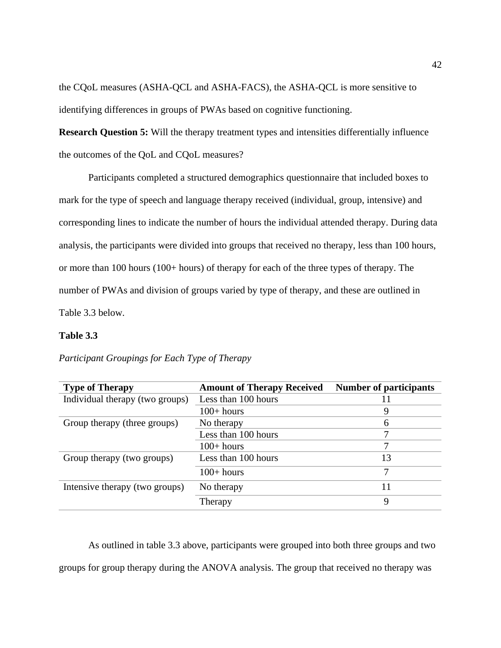the CQoL measures (ASHA-QCL and ASHA-FACS), the ASHA-QCL is more sensitive to identifying differences in groups of PWAs based on cognitive functioning.

**Research Question 5:** Will the therapy treatment types and intensities differentially influence the outcomes of the QoL and CQoL measures?

Participants completed a structured demographics questionnaire that included boxes to mark for the type of speech and language therapy received (individual, group, intensive) and corresponding lines to indicate the number of hours the individual attended therapy. During data analysis, the participants were divided into groups that received no therapy, less than 100 hours, or more than 100 hours (100+ hours) of therapy for each of the three types of therapy. The number of PWAs and division of groups varied by type of therapy, and these are outlined in Table 3.3 below.

## **Table 3.3**

| <b>Type of Therapy</b>          | <b>Amount of Therapy Received</b> | <b>Number of participants</b> |
|---------------------------------|-----------------------------------|-------------------------------|
| Individual therapy (two groups) | Less than 100 hours               | 11                            |
|                                 | $100+ hours$                      | 9                             |
| Group therapy (three groups)    | No therapy                        | 6                             |
|                                 | Less than 100 hours               |                               |
|                                 | $100+ hours$                      |                               |
| Group therapy (two groups)      | Less than 100 hours               | 13                            |
|                                 | $100+ hours$                      | 7                             |
| Intensive therapy (two groups)  | No therapy                        | 11                            |
|                                 | Therapy                           | 9                             |

*Participant Groupings for Each Type of Therapy*

As outlined in table 3.3 above, participants were grouped into both three groups and two groups for group therapy during the ANOVA analysis. The group that received no therapy was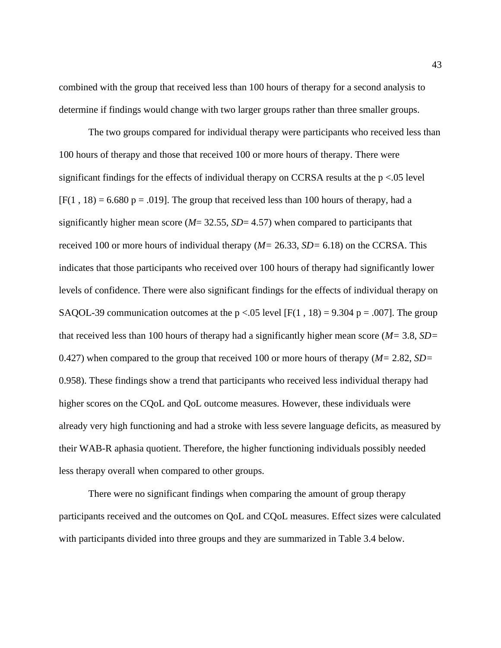combined with the group that received less than 100 hours of therapy for a second analysis to determine if findings would change with two larger groups rather than three smaller groups.

The two groups compared for individual therapy were participants who received less than 100 hours of therapy and those that received 100 or more hours of therapy. There were significant findings for the effects of individual therapy on CCRSA results at the  $p < .05$  level  $[F(1, 18) = 6.680 \text{ p} = .019]$ . The group that received less than 100 hours of therapy, had a significantly higher mean score (*M*= 32.55, *SD*= 4.57) when compared to participants that received 100 or more hours of individual therapy (*M=* 26.33, *SD=* 6.18) on the CCRSA. This indicates that those participants who received over 100 hours of therapy had significantly lower levels of confidence. There were also significant findings for the effects of individual therapy on SAQOL-39 communication outcomes at the  $p < .05$  level [F(1, 18) = 9.304 p = .007]. The group that received less than 100 hours of therapy had a significantly higher mean score (*M=* 3.8, *SD=*  0.427) when compared to the group that received 100 or more hours of therapy (*M=* 2.82, *SD=*  0.958). These findings show a trend that participants who received less individual therapy had higher scores on the CQoL and QoL outcome measures. However, these individuals were already very high functioning and had a stroke with less severe language deficits, as measured by their WAB-R aphasia quotient. Therefore, the higher functioning individuals possibly needed less therapy overall when compared to other groups.

There were no significant findings when comparing the amount of group therapy participants received and the outcomes on QoL and CQoL measures. Effect sizes were calculated with participants divided into three groups and they are summarized in Table 3.4 below.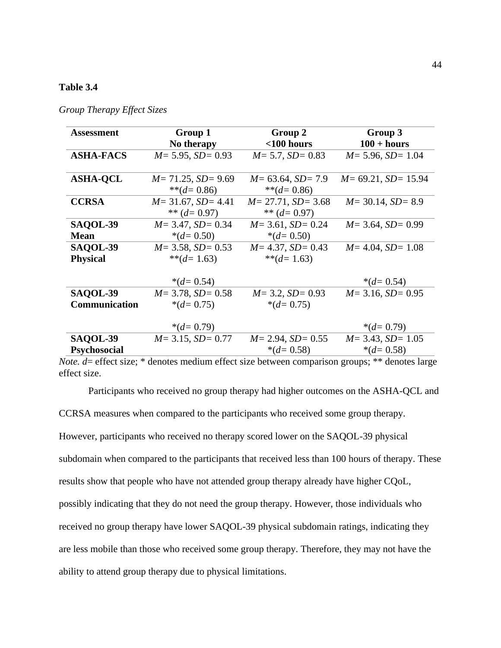## **Table 3.4**

| <b>Assessment</b>    | Group 1                   | Group 2                   | Group 3                    |
|----------------------|---------------------------|---------------------------|----------------------------|
|                      | No therapy                | $<$ 100 hours             | $100 + hours$              |
| <b>ASHA-FACS</b>     | $M = 5.95$ , $SD = 0.93$  | $M = 5.7$ , $SD = 0.83$   | $M = 5.96$ , $SD = 1.04$   |
|                      |                           |                           |                            |
| <b>ASHA-QCL</b>      | $M = 71.25$ , $SD = 9.69$ | $M = 63.64$ , $SD = 7.9$  | $M = 69.21$ , $SD = 15.94$ |
|                      | ** $(d=0.86)$             | ** $(d=0.86)$             |                            |
| <b>CCRSA</b>         | $M = 31.67$ , $SD = 4.41$ | $M = 27.71$ , $SD = 3.68$ | $M = 30.14$ , $SD = 8.9$   |
|                      | ** $(d=0.97)$             | ** $(d=0.97)$             |                            |
| <b>SAQOL-39</b>      | $M = 3.47$ , $SD = 0.34$  | $M = 3.61$ , $SD = 0.24$  | $M = 3.64$ , $SD = 0.99$   |
| <b>Mean</b>          | $*(d=0.50)$               | $*(d=0.50)$               |                            |
| SAQOL-39             | $M = 3.58$ , $SD = 0.53$  | $M = 4.37$ , $SD = 0.43$  | $M = 4.04$ , $SD = 1.08$   |
| <b>Physical</b>      | ** $(d=1.63)$             | ** $(d=1.63)$             |                            |
|                      |                           |                           |                            |
|                      | $*(d=0.54)$               |                           | $*(d=0.54)$                |
| SAQOL-39             | $M = 3.78$ , $SD = 0.58$  | $M = 3.2$ , $SD = 0.93$   | $M = 3.16$ , $SD = 0.95$   |
| <b>Communication</b> | $*(d=0.75)$               | $*(d=0.75)$               |                            |
|                      |                           |                           |                            |
|                      | $*(d=0.79)$               |                           | $*(d=0.79)$                |
| SAQOL-39             | $M = 3.15$ , $SD = 0.77$  | $M = 2.94$ , $SD = 0.55$  | $M = 3.43$ , $SD = 1.05$   |
| <b>Psychosocial</b>  |                           | $*(d=0.58)$               | $*(d=0.58)$                |

*Group Therapy Effect Sizes*

*Note. d* = effect size; \* denotes medium effect size between comparison groups; \*\* denotes large effect size.

Participants who received no group therapy had higher outcomes on the ASHA-QCL and

CCRSA measures when compared to the participants who received some group therapy.

However, participants who received no therapy scored lower on the SAQOL-39 physical subdomain when compared to the participants that received less than 100 hours of therapy. These results show that people who have not attended group therapy already have higher CQoL, possibly indicating that they do not need the group therapy. However, those individuals who received no group therapy have lower SAQOL-39 physical subdomain ratings, indicating they are less mobile than those who received some group therapy. Therefore, they may not have the ability to attend group therapy due to physical limitations.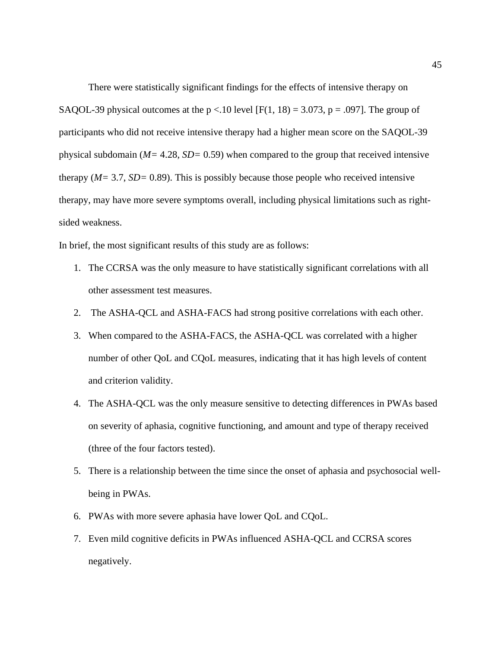There were statistically significant findings for the effects of intensive therapy on SAQOL-39 physical outcomes at the  $p < 10$  level [F(1, 18) = 3.073, p = .097]. The group of participants who did not receive intensive therapy had a higher mean score on the SAQOL-39 physical subdomain (*M=* 4.28, *SD=* 0.59) when compared to the group that received intensive therapy (*M=* 3.7, *SD=* 0.89). This is possibly because those people who received intensive therapy, may have more severe symptoms overall, including physical limitations such as rightsided weakness.

In brief, the most significant results of this study are as follows:

- 1. The CCRSA was the only measure to have statistically significant correlations with all other assessment test measures.
- 2. The ASHA-QCL and ASHA-FACS had strong positive correlations with each other.
- 3. When compared to the ASHA-FACS, the ASHA-QCL was correlated with a higher number of other QoL and CQoL measures, indicating that it has high levels of content and criterion validity.
- 4. The ASHA-QCL was the only measure sensitive to detecting differences in PWAs based on severity of aphasia, cognitive functioning, and amount and type of therapy received (three of the four factors tested).
- 5. There is a relationship between the time since the onset of aphasia and psychosocial wellbeing in PWAs.
- 6. PWAs with more severe aphasia have lower QoL and CQoL.
- 7. Even mild cognitive deficits in PWAs influenced ASHA-QCL and CCRSA scores negatively.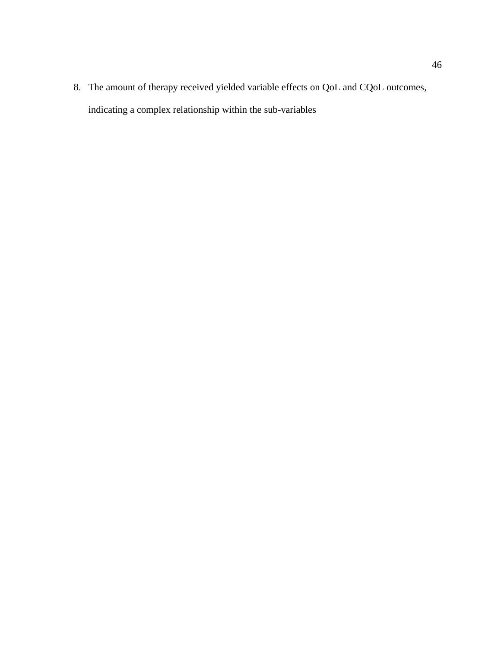8. The amount of therapy received yielded variable effects on QoL and CQoL outcomes, indicating a complex relationship within the sub-variables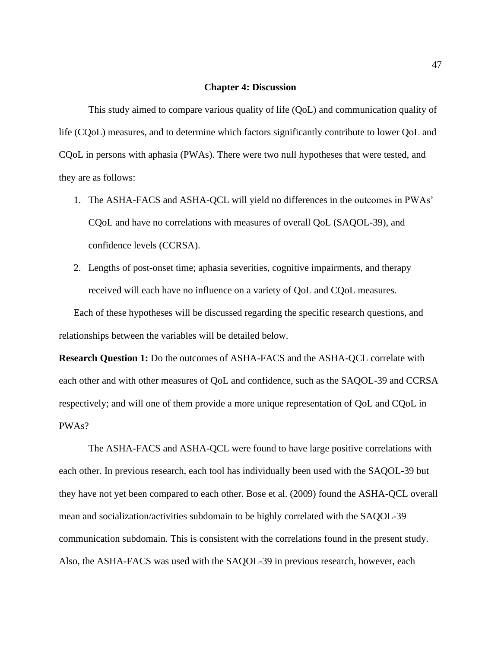#### **Chapter 4: Discussion**

This study aimed to compare various quality of life (QoL) and communication quality of life (CQoL) measures, and to determine which factors significantly contribute to lower QoL and CQoL in persons with aphasia (PWAs). There were two null hypotheses that were tested, and they are as follows:

- 1. The ASHA-FACS and ASHA-QCL will yield no differences in the outcomes in PWAs' CQoL and have no correlations with measures of overall QoL (SAQOL-39), and confidence levels (CCRSA).
- 2. Lengths of post-onset time; aphasia severities, cognitive impairments, and therapy received will each have no influence on a variety of QoL and CQoL measures.

Each of these hypotheses will be discussed regarding the specific research questions, and relationships between the variables will be detailed below.

**Research Question 1:** Do the outcomes of ASHA-FACS and the ASHA-QCL correlate with each other and with other measures of QoL and confidence, such as the SAQOL-39 and CCRSA respectively; and will one of them provide a more unique representation of QoL and CQoL in PWAs?

The ASHA-FACS and ASHA-QCL were found to have large positive correlations with each other. In previous research, each tool has individually been used with the SAQOL-39 but they have not yet been compared to each other. Bose et al. (2009) found the ASHA-QCL overall mean and socialization/activities subdomain to be highly correlated with the SAQOL-39 communication subdomain. This is consistent with the correlations found in the present study. Also, the ASHA-FACS was used with the SAQOL-39 in previous research, however, each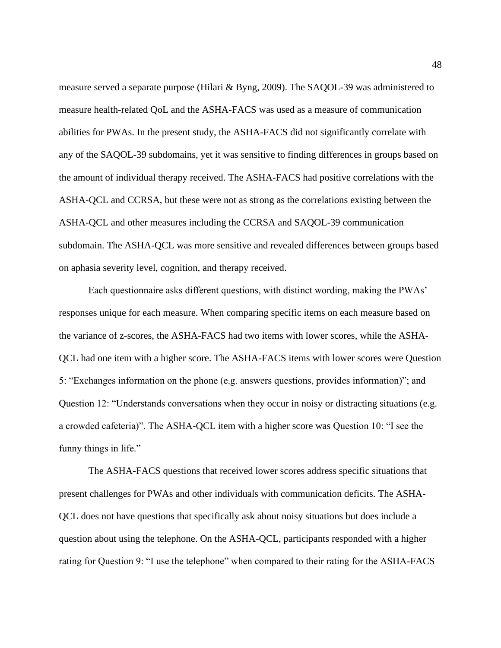measure served a separate purpose (Hilari & Byng, 2009). The SAQOL-39 was administered to measure health-related QoL and the ASHA-FACS was used as a measure of communication abilities for PWAs. In the present study, the ASHA-FACS did not significantly correlate with any of the SAQOL-39 subdomains, yet it was sensitive to finding differences in groups based on the amount of individual therapy received. The ASHA-FACS had positive correlations with the ASHA-QCL and CCRSA, but these were not as strong as the correlations existing between the ASHA-QCL and other measures including the CCRSA and SAQOL-39 communication subdomain. The ASHA-QCL was more sensitive and revealed differences between groups based on aphasia severity level, cognition, and therapy received.

Each questionnaire asks different questions, with distinct wording, making the PWAs' responses unique for each measure. When comparing specific items on each measure based on the variance of z-scores, the ASHA-FACS had two items with lower scores, while the ASHA-QCL had one item with a higher score. The ASHA-FACS items with lower scores were Question 5: "Exchanges information on the phone (e.g. answers questions, provides information)"; and Question 12: "Understands conversations when they occur in noisy or distracting situations (e.g. a crowded cafeteria)". The ASHA-QCL item with a higher score was Question 10: "I see the funny things in life."

The ASHA-FACS questions that received lower scores address specific situations that present challenges for PWAs and other individuals with communication deficits. The ASHA-QCL does not have questions that specifically ask about noisy situations but does include a question about using the telephone. On the ASHA-QCL, participants responded with a higher rating for Question 9: "I use the telephone" when compared to their rating for the ASHA-FACS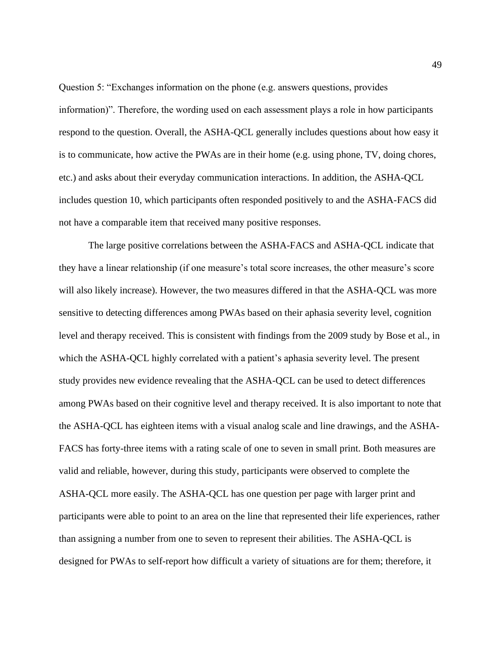Question 5: "Exchanges information on the phone (e.g. answers questions, provides information)". Therefore, the wording used on each assessment plays a role in how participants respond to the question. Overall, the ASHA-QCL generally includes questions about how easy it is to communicate, how active the PWAs are in their home (e.g. using phone, TV, doing chores, etc.) and asks about their everyday communication interactions. In addition, the ASHA-QCL includes question 10, which participants often responded positively to and the ASHA-FACS did not have a comparable item that received many positive responses.

The large positive correlations between the ASHA-FACS and ASHA-QCL indicate that they have a linear relationship (if one measure's total score increases, the other measure's score will also likely increase). However, the two measures differed in that the ASHA-QCL was more sensitive to detecting differences among PWAs based on their aphasia severity level, cognition level and therapy received. This is consistent with findings from the 2009 study by Bose et al., in which the ASHA-QCL highly correlated with a patient's aphasia severity level. The present study provides new evidence revealing that the ASHA-QCL can be used to detect differences among PWAs based on their cognitive level and therapy received. It is also important to note that the ASHA-QCL has eighteen items with a visual analog scale and line drawings, and the ASHA-FACS has forty-three items with a rating scale of one to seven in small print. Both measures are valid and reliable, however, during this study, participants were observed to complete the ASHA-QCL more easily. The ASHA-QCL has one question per page with larger print and participants were able to point to an area on the line that represented their life experiences, rather than assigning a number from one to seven to represent their abilities. The ASHA-QCL is designed for PWAs to self-report how difficult a variety of situations are for them; therefore, it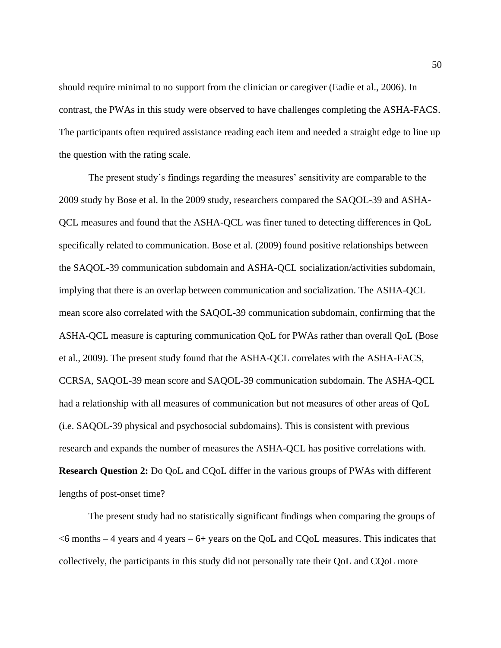should require minimal to no support from the clinician or caregiver (Eadie et al., 2006). In contrast, the PWAs in this study were observed to have challenges completing the ASHA-FACS. The participants often required assistance reading each item and needed a straight edge to line up the question with the rating scale.

The present study's findings regarding the measures' sensitivity are comparable to the 2009 study by Bose et al. In the 2009 study, researchers compared the SAQOL-39 and ASHA-QCL measures and found that the ASHA-QCL was finer tuned to detecting differences in QoL specifically related to communication. Bose et al. (2009) found positive relationships between the SAQOL-39 communication subdomain and ASHA-QCL socialization/activities subdomain, implying that there is an overlap between communication and socialization. The ASHA-QCL mean score also correlated with the SAQOL-39 communication subdomain, confirming that the ASHA-QCL measure is capturing communication QoL for PWAs rather than overall QoL (Bose et al., 2009). The present study found that the ASHA-QCL correlates with the ASHA-FACS, CCRSA, SAQOL-39 mean score and SAQOL-39 communication subdomain. The ASHA-QCL had a relationship with all measures of communication but not measures of other areas of QoL (i.e. SAQOL-39 physical and psychosocial subdomains). This is consistent with previous research and expands the number of measures the ASHA-QCL has positive correlations with. **Research Question 2:** Do QoL and CQoL differ in the various groups of PWAs with different lengths of post-onset time?

The present study had no statistically significant findings when comparing the groups of  $<$ 6 months – 4 years and 4 years – 6+ years on the QoL and CQoL measures. This indicates that collectively, the participants in this study did not personally rate their QoL and CQoL more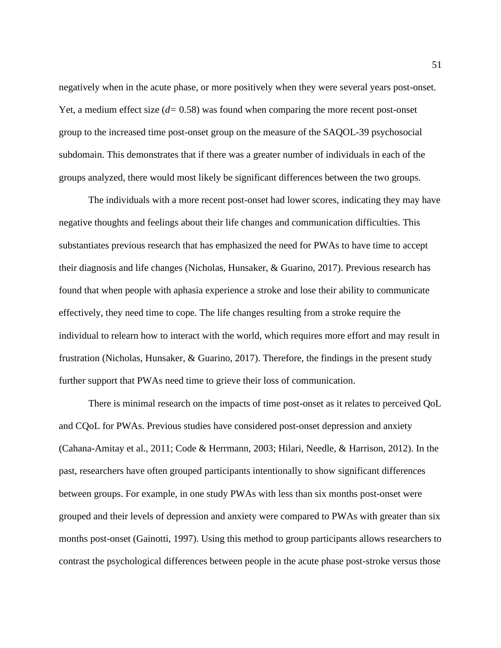negatively when in the acute phase, or more positively when they were several years post-onset. Yet, a medium effect size (*d=* 0.58) was found when comparing the more recent post-onset group to the increased time post-onset group on the measure of the SAQOL-39 psychosocial subdomain. This demonstrates that if there was a greater number of individuals in each of the groups analyzed, there would most likely be significant differences between the two groups.

The individuals with a more recent post-onset had lower scores, indicating they may have negative thoughts and feelings about their life changes and communication difficulties. This substantiates previous research that has emphasized the need for PWAs to have time to accept their diagnosis and life changes (Nicholas, Hunsaker, & Guarino, 2017). Previous research has found that when people with aphasia experience a stroke and lose their ability to communicate effectively, they need time to cope. The life changes resulting from a stroke require the individual to relearn how to interact with the world, which requires more effort and may result in frustration (Nicholas, Hunsaker, & Guarino, 2017). Therefore, the findings in the present study further support that PWAs need time to grieve their loss of communication.

There is minimal research on the impacts of time post-onset as it relates to perceived QoL and CQoL for PWAs. Previous studies have considered post-onset depression and anxiety (Cahana-Amitay et al., 2011; Code & Herrmann, 2003; Hilari, Needle, & Harrison, 2012). In the past, researchers have often grouped participants intentionally to show significant differences between groups. For example, in one study PWAs with less than six months post-onset were grouped and their levels of depression and anxiety were compared to PWAs with greater than six months post-onset (Gainotti, 1997). Using this method to group participants allows researchers to contrast the psychological differences between people in the acute phase post-stroke versus those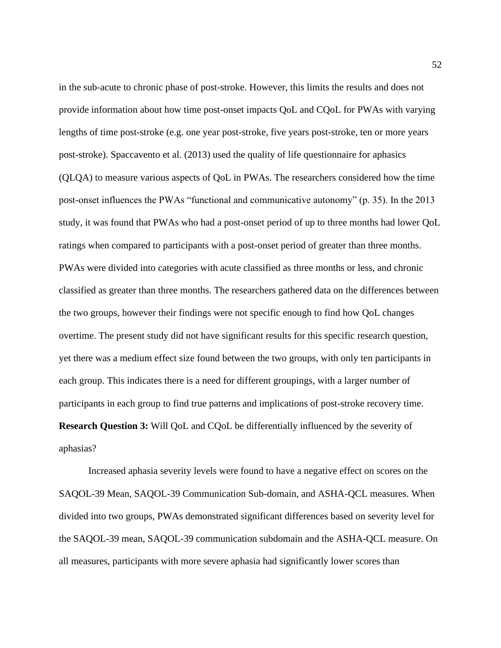in the sub-acute to chronic phase of post-stroke. However, this limits the results and does not provide information about how time post-onset impacts QoL and CQoL for PWAs with varying lengths of time post-stroke (e.g. one year post-stroke, five years post-stroke, ten or more years post-stroke). Spaccavento et al. (2013) used the quality of life questionnaire for aphasics (QLQA) to measure various aspects of QoL in PWAs. The researchers considered how the time post-onset influences the PWAs "functional and communicative autonomy" (p. 35). In the 2013 study, it was found that PWAs who had a post-onset period of up to three months had lower QoL ratings when compared to participants with a post-onset period of greater than three months. PWAs were divided into categories with acute classified as three months or less, and chronic classified as greater than three months. The researchers gathered data on the differences between the two groups, however their findings were not specific enough to find how QoL changes overtime. The present study did not have significant results for this specific research question, yet there was a medium effect size found between the two groups, with only ten participants in each group. This indicates there is a need for different groupings, with a larger number of participants in each group to find true patterns and implications of post-stroke recovery time. **Research Question 3:** Will QoL and CQoL be differentially influenced by the severity of aphasias?

Increased aphasia severity levels were found to have a negative effect on scores on the SAQOL-39 Mean, SAQOL-39 Communication Sub-domain, and ASHA-QCL measures. When divided into two groups, PWAs demonstrated significant differences based on severity level for the SAQOL-39 mean, SAQOL-39 communication subdomain and the ASHA-QCL measure. On all measures, participants with more severe aphasia had significantly lower scores than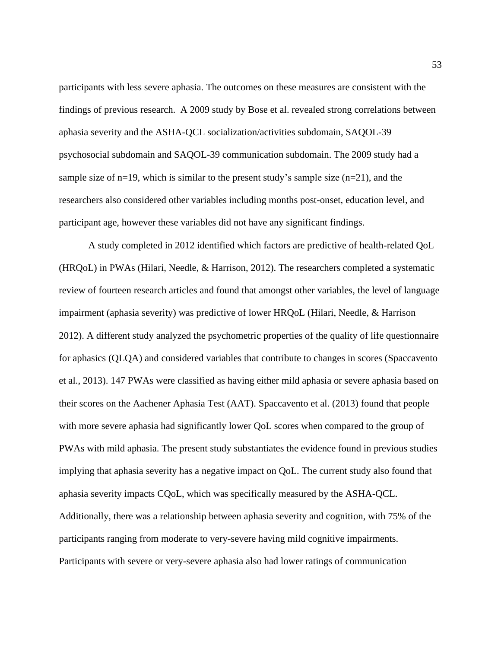participants with less severe aphasia. The outcomes on these measures are consistent with the findings of previous research. A 2009 study by Bose et al. revealed strong correlations between aphasia severity and the ASHA-QCL socialization/activities subdomain, SAQOL-39 psychosocial subdomain and SAQOL-39 communication subdomain. The 2009 study had a sample size of  $n=19$ , which is similar to the present study's sample size  $(n=21)$ , and the researchers also considered other variables including months post-onset, education level, and participant age, however these variables did not have any significant findings.

A study completed in 2012 identified which factors are predictive of health-related QoL (HRQoL) in PWAs (Hilari, Needle, & Harrison, 2012). The researchers completed a systematic review of fourteen research articles and found that amongst other variables, the level of language impairment (aphasia severity) was predictive of lower HRQoL (Hilari, Needle, & Harrison 2012). A different study analyzed the psychometric properties of the quality of life questionnaire for aphasics (QLQA) and considered variables that contribute to changes in scores (Spaccavento et al., 2013). 147 PWAs were classified as having either mild aphasia or severe aphasia based on their scores on the Aachener Aphasia Test (AAT). Spaccavento et al. (2013) found that people with more severe aphasia had significantly lower QoL scores when compared to the group of PWAs with mild aphasia. The present study substantiates the evidence found in previous studies implying that aphasia severity has a negative impact on QoL. The current study also found that aphasia severity impacts CQoL, which was specifically measured by the ASHA-QCL. Additionally, there was a relationship between aphasia severity and cognition, with 75% of the participants ranging from moderate to very-severe having mild cognitive impairments. Participants with severe or very-severe aphasia also had lower ratings of communication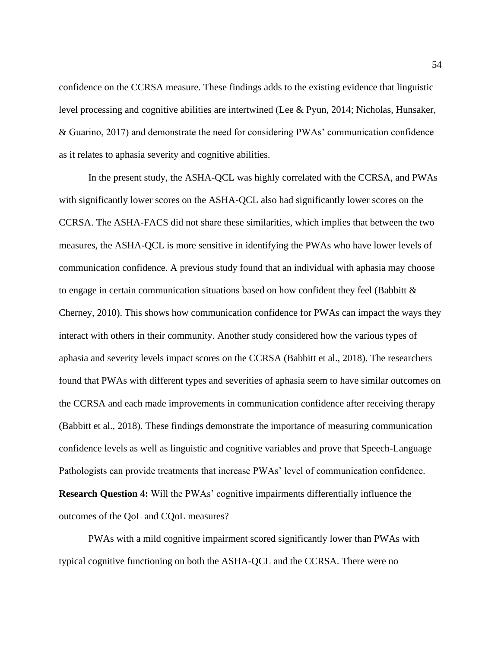confidence on the CCRSA measure. These findings adds to the existing evidence that linguistic level processing and cognitive abilities are intertwined (Lee & Pyun, 2014; Nicholas, Hunsaker, & Guarino, 2017) and demonstrate the need for considering PWAs' communication confidence as it relates to aphasia severity and cognitive abilities.

In the present study, the ASHA-QCL was highly correlated with the CCRSA, and PWAs with significantly lower scores on the ASHA-QCL also had significantly lower scores on the CCRSA. The ASHA-FACS did not share these similarities, which implies that between the two measures, the ASHA-QCL is more sensitive in identifying the PWAs who have lower levels of communication confidence. A previous study found that an individual with aphasia may choose to engage in certain communication situations based on how confident they feel (Babbitt & Cherney, 2010). This shows how communication confidence for PWAs can impact the ways they interact with others in their community. Another study considered how the various types of aphasia and severity levels impact scores on the CCRSA (Babbitt et al., 2018). The researchers found that PWAs with different types and severities of aphasia seem to have similar outcomes on the CCRSA and each made improvements in communication confidence after receiving therapy (Babbitt et al., 2018). These findings demonstrate the importance of measuring communication confidence levels as well as linguistic and cognitive variables and prove that Speech-Language Pathologists can provide treatments that increase PWAs' level of communication confidence. **Research Question 4:** Will the PWAs' cognitive impairments differentially influence the outcomes of the QoL and CQoL measures?

PWAs with a mild cognitive impairment scored significantly lower than PWAs with typical cognitive functioning on both the ASHA-QCL and the CCRSA. There were no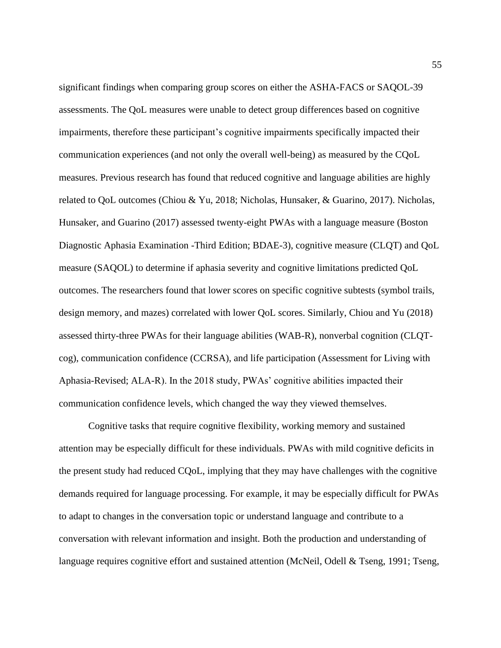significant findings when comparing group scores on either the ASHA-FACS or SAQOL-39 assessments. The QoL measures were unable to detect group differences based on cognitive impairments, therefore these participant's cognitive impairments specifically impacted their communication experiences (and not only the overall well-being) as measured by the CQoL measures. Previous research has found that reduced cognitive and language abilities are highly related to QoL outcomes (Chiou & Yu, 2018; Nicholas, Hunsaker, & Guarino, 2017). Nicholas, Hunsaker, and Guarino (2017) assessed twenty-eight PWAs with a language measure (Boston Diagnostic Aphasia Examination -Third Edition; BDAE-3), cognitive measure (CLQT) and QoL measure (SAQOL) to determine if aphasia severity and cognitive limitations predicted QoL outcomes. The researchers found that lower scores on specific cognitive subtests (symbol trails, design memory, and mazes) correlated with lower QoL scores. Similarly, Chiou and Yu (2018) assessed thirty-three PWAs for their language abilities (WAB-R), nonverbal cognition (CLQTcog), communication confidence (CCRSA), and life participation (Assessment for Living with Aphasia-Revised; ALA-R). In the 2018 study, PWAs' cognitive abilities impacted their communication confidence levels, which changed the way they viewed themselves.

Cognitive tasks that require cognitive flexibility, working memory and sustained attention may be especially difficult for these individuals. PWAs with mild cognitive deficits in the present study had reduced CQoL, implying that they may have challenges with the cognitive demands required for language processing. For example, it may be especially difficult for PWAs to adapt to changes in the conversation topic or understand language and contribute to a conversation with relevant information and insight. Both the production and understanding of language requires cognitive effort and sustained attention (McNeil, Odell & Tseng, 1991; Tseng,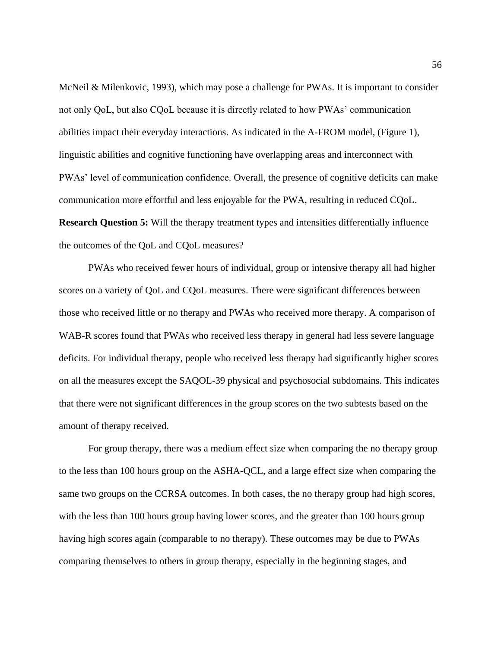McNeil & Milenkovic, 1993), which may pose a challenge for PWAs. It is important to consider not only QoL, but also CQoL because it is directly related to how PWAs' communication abilities impact their everyday interactions. As indicated in the A-FROM model, (Figure 1), linguistic abilities and cognitive functioning have overlapping areas and interconnect with PWAs' level of communication confidence. Overall, the presence of cognitive deficits can make communication more effortful and less enjoyable for the PWA, resulting in reduced CQoL. **Research Question 5:** Will the therapy treatment types and intensities differentially influence the outcomes of the QoL and CQoL measures?

PWAs who received fewer hours of individual, group or intensive therapy all had higher scores on a variety of QoL and CQoL measures. There were significant differences between those who received little or no therapy and PWAs who received more therapy. A comparison of WAB-R scores found that PWAs who received less therapy in general had less severe language deficits. For individual therapy, people who received less therapy had significantly higher scores on all the measures except the SAQOL-39 physical and psychosocial subdomains. This indicates that there were not significant differences in the group scores on the two subtests based on the amount of therapy received.

For group therapy, there was a medium effect size when comparing the no therapy group to the less than 100 hours group on the ASHA-QCL, and a large effect size when comparing the same two groups on the CCRSA outcomes. In both cases, the no therapy group had high scores, with the less than 100 hours group having lower scores, and the greater than 100 hours group having high scores again (comparable to no therapy). These outcomes may be due to PWAs comparing themselves to others in group therapy, especially in the beginning stages, and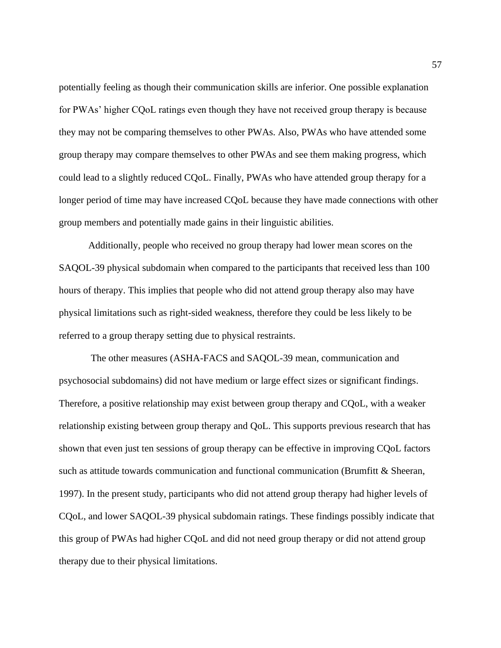potentially feeling as though their communication skills are inferior. One possible explanation for PWAs' higher CQoL ratings even though they have not received group therapy is because they may not be comparing themselves to other PWAs. Also, PWAs who have attended some group therapy may compare themselves to other PWAs and see them making progress, which could lead to a slightly reduced CQoL. Finally, PWAs who have attended group therapy for a longer period of time may have increased CQoL because they have made connections with other group members and potentially made gains in their linguistic abilities.

Additionally, people who received no group therapy had lower mean scores on the SAQOL-39 physical subdomain when compared to the participants that received less than 100 hours of therapy. This implies that people who did not attend group therapy also may have physical limitations such as right-sided weakness, therefore they could be less likely to be referred to a group therapy setting due to physical restraints.

The other measures (ASHA-FACS and SAQOL-39 mean, communication and psychosocial subdomains) did not have medium or large effect sizes or significant findings. Therefore, a positive relationship may exist between group therapy and CQoL, with a weaker relationship existing between group therapy and QoL. This supports previous research that has shown that even just ten sessions of group therapy can be effective in improving CQoL factors such as attitude towards communication and functional communication (Brumfitt & Sheeran, 1997). In the present study, participants who did not attend group therapy had higher levels of CQoL, and lower SAQOL-39 physical subdomain ratings. These findings possibly indicate that this group of PWAs had higher CQoL and did not need group therapy or did not attend group therapy due to their physical limitations.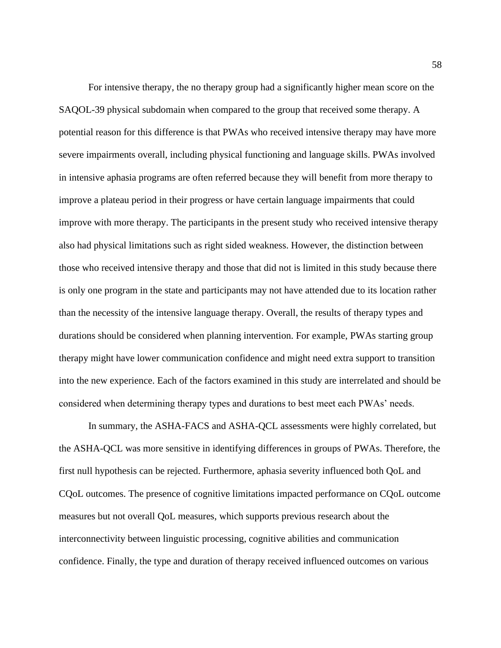For intensive therapy, the no therapy group had a significantly higher mean score on the SAQOL-39 physical subdomain when compared to the group that received some therapy. A potential reason for this difference is that PWAs who received intensive therapy may have more severe impairments overall, including physical functioning and language skills. PWAs involved in intensive aphasia programs are often referred because they will benefit from more therapy to improve a plateau period in their progress or have certain language impairments that could improve with more therapy. The participants in the present study who received intensive therapy also had physical limitations such as right sided weakness. However, the distinction between those who received intensive therapy and those that did not is limited in this study because there is only one program in the state and participants may not have attended due to its location rather than the necessity of the intensive language therapy. Overall, the results of therapy types and durations should be considered when planning intervention. For example, PWAs starting group therapy might have lower communication confidence and might need extra support to transition into the new experience. Each of the factors examined in this study are interrelated and should be considered when determining therapy types and durations to best meet each PWAs' needs.

In summary, the ASHA-FACS and ASHA-QCL assessments were highly correlated, but the ASHA-QCL was more sensitive in identifying differences in groups of PWAs. Therefore, the first null hypothesis can be rejected. Furthermore, aphasia severity influenced both QoL and CQoL outcomes. The presence of cognitive limitations impacted performance on CQoL outcome measures but not overall QoL measures, which supports previous research about the interconnectivity between linguistic processing, cognitive abilities and communication confidence. Finally, the type and duration of therapy received influenced outcomes on various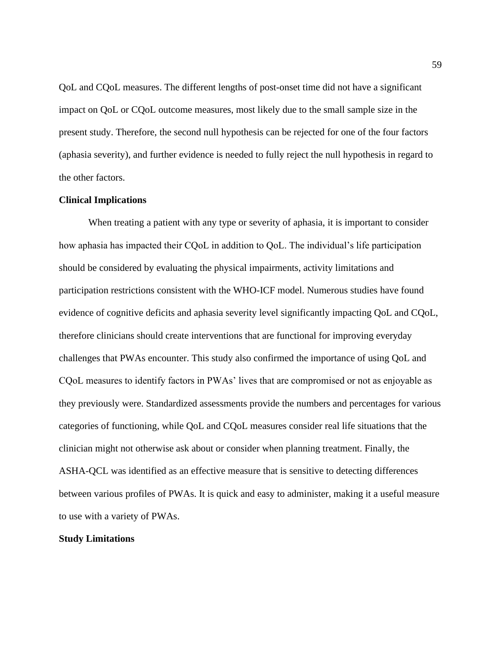QoL and CQoL measures. The different lengths of post-onset time did not have a significant impact on QoL or CQoL outcome measures, most likely due to the small sample size in the present study. Therefore, the second null hypothesis can be rejected for one of the four factors (aphasia severity), and further evidence is needed to fully reject the null hypothesis in regard to the other factors.

## **Clinical Implications**

When treating a patient with any type or severity of aphasia, it is important to consider how aphasia has impacted their CQoL in addition to QoL. The individual's life participation should be considered by evaluating the physical impairments, activity limitations and participation restrictions consistent with the WHO-ICF model. Numerous studies have found evidence of cognitive deficits and aphasia severity level significantly impacting QoL and CQoL, therefore clinicians should create interventions that are functional for improving everyday challenges that PWAs encounter. This study also confirmed the importance of using QoL and CQoL measures to identify factors in PWAs' lives that are compromised or not as enjoyable as they previously were. Standardized assessments provide the numbers and percentages for various categories of functioning, while QoL and CQoL measures consider real life situations that the clinician might not otherwise ask about or consider when planning treatment. Finally, the ASHA-QCL was identified as an effective measure that is sensitive to detecting differences between various profiles of PWAs. It is quick and easy to administer, making it a useful measure to use with a variety of PWAs.

#### **Study Limitations**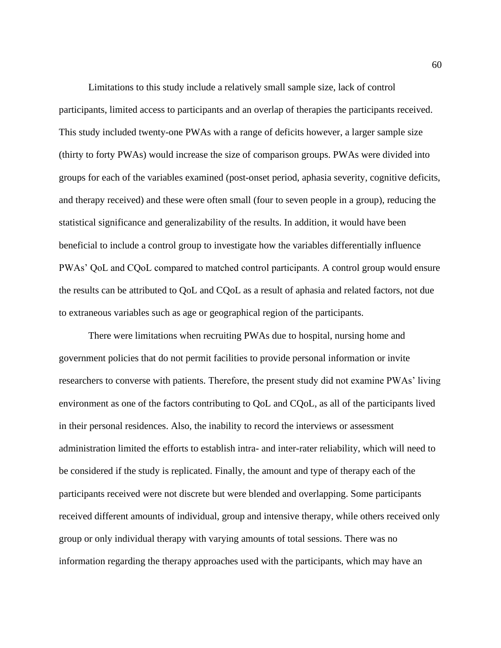Limitations to this study include a relatively small sample size, lack of control participants, limited access to participants and an overlap of therapies the participants received. This study included twenty-one PWAs with a range of deficits however, a larger sample size (thirty to forty PWAs) would increase the size of comparison groups. PWAs were divided into groups for each of the variables examined (post-onset period, aphasia severity, cognitive deficits, and therapy received) and these were often small (four to seven people in a group), reducing the statistical significance and generalizability of the results. In addition, it would have been beneficial to include a control group to investigate how the variables differentially influence PWAs' QoL and CQoL compared to matched control participants. A control group would ensure the results can be attributed to QoL and CQoL as a result of aphasia and related factors, not due to extraneous variables such as age or geographical region of the participants.

There were limitations when recruiting PWAs due to hospital, nursing home and government policies that do not permit facilities to provide personal information or invite researchers to converse with patients. Therefore, the present study did not examine PWAs' living environment as one of the factors contributing to QoL and CQoL, as all of the participants lived in their personal residences. Also, the inability to record the interviews or assessment administration limited the efforts to establish intra- and inter-rater reliability, which will need to be considered if the study is replicated. Finally, the amount and type of therapy each of the participants received were not discrete but were blended and overlapping. Some participants received different amounts of individual, group and intensive therapy, while others received only group or only individual therapy with varying amounts of total sessions. There was no information regarding the therapy approaches used with the participants, which may have an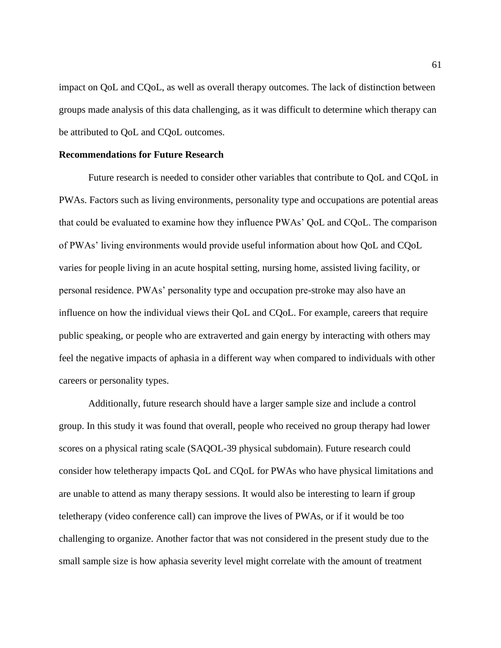impact on QoL and CQoL, as well as overall therapy outcomes. The lack of distinction between groups made analysis of this data challenging, as it was difficult to determine which therapy can be attributed to QoL and CQoL outcomes.

#### **Recommendations for Future Research**

Future research is needed to consider other variables that contribute to QoL and CQoL in PWAs. Factors such as living environments, personality type and occupations are potential areas that could be evaluated to examine how they influence PWAs' QoL and CQoL. The comparison of PWAs' living environments would provide useful information about how QoL and CQoL varies for people living in an acute hospital setting, nursing home, assisted living facility, or personal residence. PWAs' personality type and occupation pre-stroke may also have an influence on how the individual views their QoL and CQoL. For example, careers that require public speaking, or people who are extraverted and gain energy by interacting with others may feel the negative impacts of aphasia in a different way when compared to individuals with other careers or personality types.

Additionally, future research should have a larger sample size and include a control group. In this study it was found that overall, people who received no group therapy had lower scores on a physical rating scale (SAQOL-39 physical subdomain). Future research could consider how teletherapy impacts QoL and CQoL for PWAs who have physical limitations and are unable to attend as many therapy sessions. It would also be interesting to learn if group teletherapy (video conference call) can improve the lives of PWAs, or if it would be too challenging to organize. Another factor that was not considered in the present study due to the small sample size is how aphasia severity level might correlate with the amount of treatment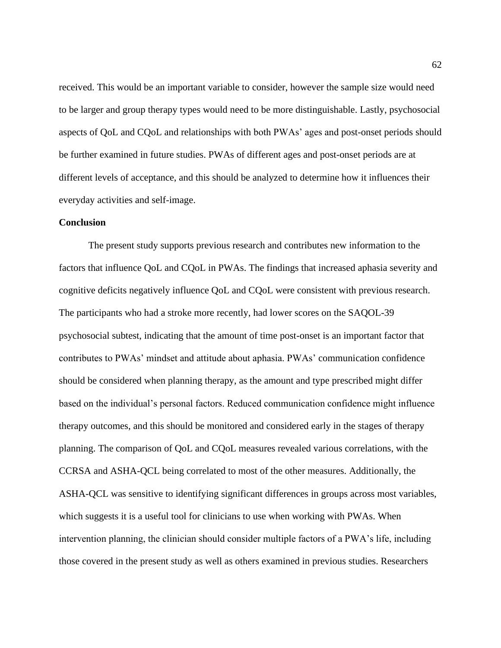received. This would be an important variable to consider, however the sample size would need to be larger and group therapy types would need to be more distinguishable. Lastly, psychosocial aspects of QoL and CQoL and relationships with both PWAs' ages and post-onset periods should be further examined in future studies. PWAs of different ages and post-onset periods are at different levels of acceptance, and this should be analyzed to determine how it influences their everyday activities and self-image.

## **Conclusion**

The present study supports previous research and contributes new information to the factors that influence QoL and CQoL in PWAs. The findings that increased aphasia severity and cognitive deficits negatively influence QoL and CQoL were consistent with previous research. The participants who had a stroke more recently, had lower scores on the SAQOL-39 psychosocial subtest, indicating that the amount of time post-onset is an important factor that contributes to PWAs' mindset and attitude about aphasia. PWAs' communication confidence should be considered when planning therapy, as the amount and type prescribed might differ based on the individual's personal factors. Reduced communication confidence might influence therapy outcomes, and this should be monitored and considered early in the stages of therapy planning. The comparison of QoL and CQoL measures revealed various correlations, with the CCRSA and ASHA-QCL being correlated to most of the other measures. Additionally, the ASHA-QCL was sensitive to identifying significant differences in groups across most variables, which suggests it is a useful tool for clinicians to use when working with PWAs. When intervention planning, the clinician should consider multiple factors of a PWA's life, including those covered in the present study as well as others examined in previous studies. Researchers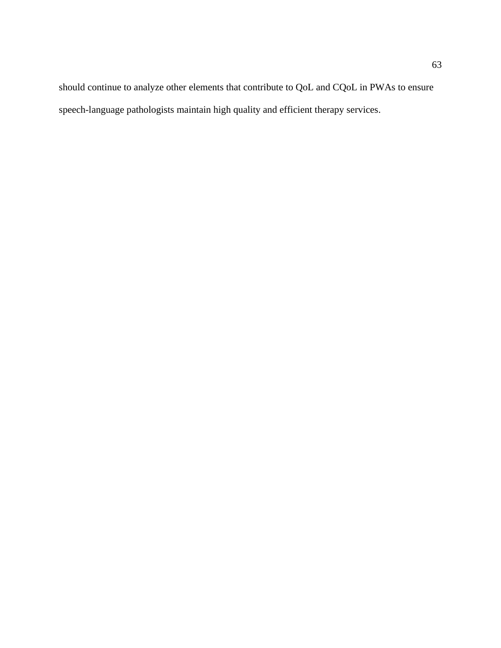should continue to analyze other elements that contribute to QoL and CQoL in PWAs to ensure speech-language pathologists maintain high quality and efficient therapy services.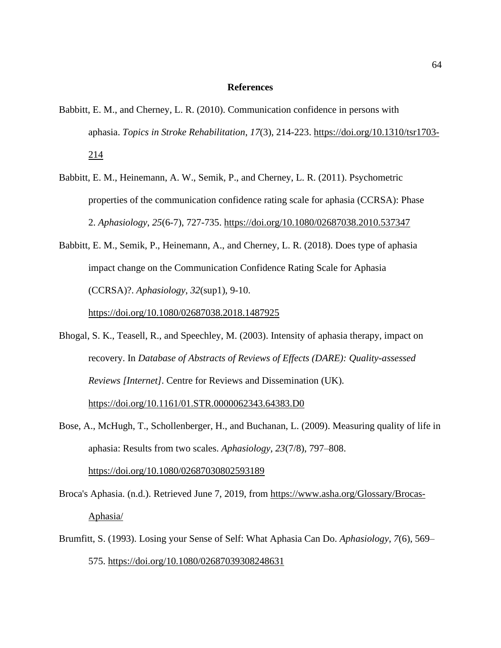#### **References**

- Babbitt, E. M., and Cherney, L. R. (2010). Communication confidence in persons with aphasia. *Topics in Stroke Rehabilitation*, *17*(3), 214-223. [https://doi.org/10.1310/tsr1703-](https://doi.org/10.1310/tsr1703-214) [214](https://doi.org/10.1310/tsr1703-214)
- Babbitt, E. M., Heinemann, A. W., Semik, P., and Cherney, L. R. (2011). Psychometric properties of the communication confidence rating scale for aphasia (CCRSA): Phase 2. *Aphasiology*, *25*(6-7), 727-735.<https://doi.org/10.1080/02687038.2010.537347>
- Babbitt, E. M., Semik, P., Heinemann, A., and Cherney, L. R. (2018). Does type of aphasia impact change on the Communication Confidence Rating Scale for Aphasia (CCRSA)?. *Aphasiology*, *32*(sup1), 9-10.

<https://doi.org/10.1080/02687038.2018.1487925>

- Bhogal, S. K., Teasell, R., and Speechley, M. (2003). Intensity of aphasia therapy, impact on recovery. In *Database of Abstracts of Reviews of Effects (DARE): Quality-assessed Reviews [Internet]*. Centre for Reviews and Dissemination (UK). <https://doi.org/10.1161/01.STR.0000062343.64383.D0>
- Bose, A., McHugh, T., Schollenberger, H., and Buchanan, L. (2009). Measuring quality of life in aphasia: Results from two scales. *Aphasiology, 23*(7/8), 797–808.

<https://doi.org/10.1080/02687030802593189>

- Broca's Aphasia. (n.d.). Retrieved June 7, 2019, from [https://www.asha.org/Glossary/Brocas-](https://www.asha.org/Glossary/Brocas-Aphasia/)[Aphasia/](https://www.asha.org/Glossary/Brocas-Aphasia/)
- Brumfitt, S. (1993). Losing your Sense of Self: What Aphasia Can Do. *Aphasiology*, *7*(6), 569– 575.<https://doi.org/10.1080/02687039308248631>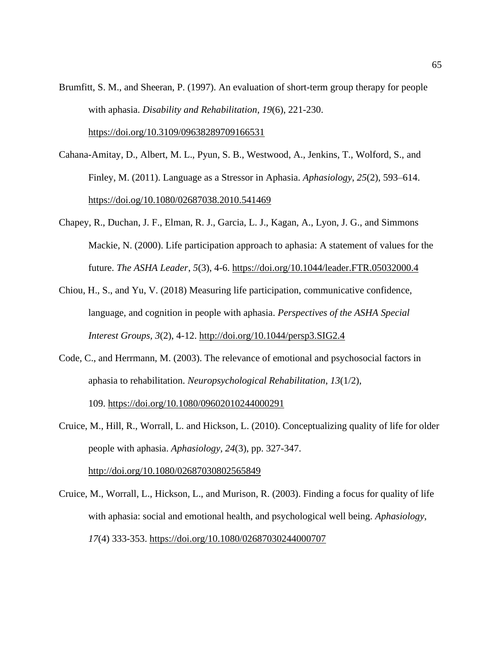Brumfitt, S. M., and Sheeran, P. (1997). An evaluation of short-term group therapy for people with aphasia. *Disability and Rehabilitation*, *19*(6), 221-230.

<https://doi.org/10.3109/09638289709166531>

- Cahana-Amitay, D., Albert, M. L., Pyun, S. B., Westwood, A., Jenkins, T., Wolford, S., and Finley, M. (2011). Language as a Stressor in Aphasia. *Aphasiology*, *25*(2), 593–614. <https://doi.og/10.1080/02687038.2010.541469>
- Chapey, R., Duchan, J. F., Elman, R. J., Garcia, L. J., Kagan, A., Lyon, J. G., and Simmons Mackie, N. (2000). Life participation approach to aphasia: A statement of values for the future. *The ASHA Leader*, *5*(3), 4-6.<https://doi.org/10.1044/leader.FTR.05032000.4>
- Chiou, H., S., and Yu, V. (2018) Measuring life participation, communicative confidence, language, and cognition in people with aphasia. *Perspectives of the ASHA Special Interest Groups, 3*(2), 4-12.<http://doi.org/10.1044/persp3.SIG2.4>
- Code, C., and Herrmann, M. (2003). The relevance of emotional and psychosocial factors in aphasia to rehabilitation. *Neuropsychological Rehabilitation*, *13*(1/2), 109. <https://doi.org/10.1080/09602010244000291>
- Cruice, M., Hill, R., Worrall, L. and Hickson, L. (2010). Conceptualizing quality of life for older people with aphasia. *Aphasiology, 24*(3), pp. 327-347.

<http://doi.org/10.1080/02687030802565849>

Cruice, M., Worrall, L., Hickson, L., and Murison, R. (2003). Finding a focus for quality of life with aphasia: social and emotional health, and psychological well being. *Aphasiology, 17*(4) 333-353.<https://doi.org/10.1080/02687030244000707>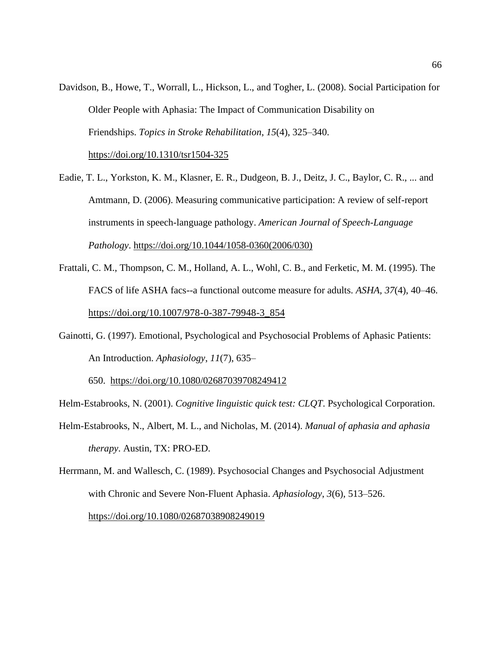- Davidson, B., Howe, T., Worrall, L., Hickson, L., and Togher, L. (2008). Social Participation for Older People with Aphasia: The Impact of Communication Disability on Friendships. *Topics in Stroke Rehabilitation*, *15*(4), 325–340. <https://doi.org/10.1310/tsr1504-325>
- Eadie, T. L., Yorkston, K. M., Klasner, E. R., Dudgeon, B. J., Deitz, J. C., Baylor, C. R., ... and Amtmann, D. (2006). Measuring communicative participation: A review of self-report instruments in speech-language pathology. *American Journal of Speech-Language Pathology*. [https://doi.org/10.1044/1058-0360\(2006/030\)](https://doi.org/10.1044/1058-0360(2006/030))
- Frattali, C. M., Thompson, C. M., Holland, A. L., Wohl, C. B., and Ferketic, M. M. (1995). The FACS of life ASHA facs--a functional outcome measure for adults. *ASHA, 37*(4), 40–46. [https://doi.org/10.1007/978-0-387-79948-3\\_854](https://doi.org/10.1007/978-0-387-79948-3_854)
- Gainotti, G. (1997). Emotional, Psychological and Psychosocial Problems of Aphasic Patients: An Introduction. *Aphasiology*, *11*(7), 635–

650. <https://doi.org/10.1080/02687039708249412>

Helm-Estabrooks, N. (2001). *Cognitive linguistic quick test: CLQT*. Psychological Corporation.

- Helm-Estabrooks, N., Albert, M. L., and Nicholas, M. (2014). *Manual of aphasia and aphasia therapy*. Austin, TX: PRO-ED.
- Herrmann, M. and Wallesch, C. (1989). Psychosocial Changes and Psychosocial Adjustment with Chronic and Severe Non-Fluent Aphasia. *Aphasiology*, *3*(6), 513–526.

<https://doi.org/10.1080/02687038908249019>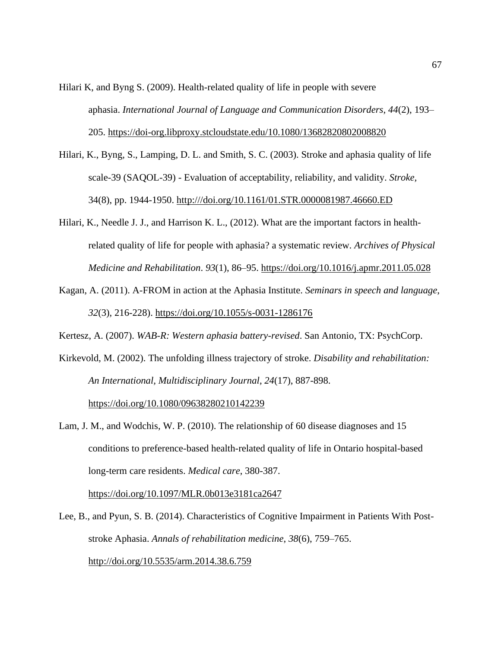- Hilari K, and Byng S. (2009). Health-related quality of life in people with severe aphasia. *International Journal of Language and Communication Disorders*, *44*(2), 193– 205.<https://doi-org.libproxy.stcloudstate.edu/10.1080/13682820802008820>
- Hilari, K., Byng, S., Lamping, D. L. and Smith, S. C. (2003). Stroke and aphasia quality of life scale-39 (SAQOL-39) - Evaluation of acceptability, reliability, and validity. *Stroke,* 34(8), pp. 1944-1950. [http:///doi.org/10.1161/01.STR.0000081987.46660.ED](http://doi.org/10.1161/01.STR.0000081987.46660.ED)
- Hilari, K., Needle J. J., and Harrison K. L., (2012). What are the important factors in healthrelated quality of life for people with aphasia? a systematic review. *Archives of Physical Medicine and Rehabilitation*. *93*(1), 86–95. <https://doi.org/10.1016/j.apmr.2011.05.028>
- Kagan, A. (2011). A-FROM in action at the Aphasia Institute. *Seminars in speech and language*, *32*(3), 216-228).<https://doi.org/10.1055/s-0031-1286176>

Kertesz, A. (2007). *WAB-R: Western aphasia battery-revised*. San Antonio, TX: PsychCorp.

Kirkevold, M. (2002). The unfolding illness trajectory of stroke. *Disability and rehabilitation: An International, Multidisciplinary Journal*, *24*(17), 887-898.

<https://doi.org/10.1080/09638280210142239>

Lam, J. M., and Wodchis, W. P. (2010). The relationship of 60 disease diagnoses and 15 conditions to preference-based health-related quality of life in Ontario hospital-based long-term care residents. *Medical care*, 380-387.

<https://doi.org/10.1097/MLR.0b013e3181ca2647>

Lee, B., and Pyun, S. B. (2014). Characteristics of Cognitive Impairment in Patients With Poststroke Aphasia. *Annals of rehabilitation medicine*, *38*(6), 759–765. <http://doi.org/10.5535/arm.2014.38.6.759>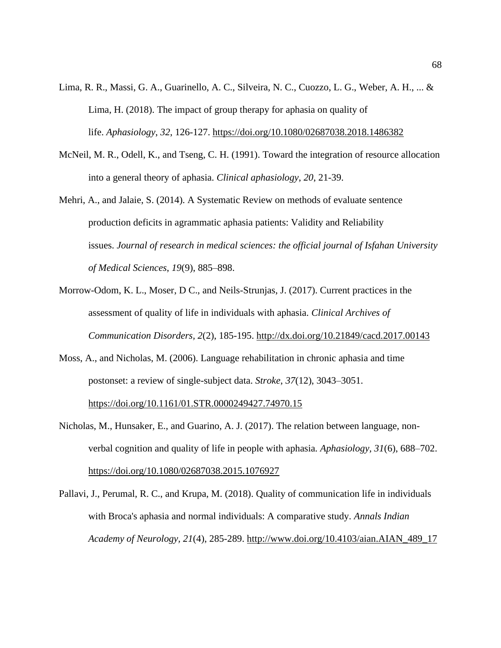- Lima, R. R., Massi, G. A., Guarinello, A. C., Silveira, N. C., Cuozzo, L. G., Weber, A. H., ... & Lima, H. (2018). The impact of group therapy for aphasia on quality of life. *Aphasiology*, *32*, 126-127.<https://doi.org/10.1080/02687038.2018.1486382>
- McNeil, M. R., Odell, K., and Tseng, C. H. (1991). Toward the integration of resource allocation into a general theory of aphasia. *Clinical aphasiology*, *20*, 21-39.
- Mehri, A., and Jalaie, S. (2014). A Systematic Review on methods of evaluate sentence production deficits in agrammatic aphasia patients: Validity and Reliability issues. *Journal of research in medical sciences: the official journal of Isfahan University of Medical Sciences*, *19*(9), 885–898.
- Morrow-Odom, K. L., Moser, D C., and Neils-Strunjas, J. (2017). Current practices in the assessment of quality of life in individuals with aphasia. *Clinical Archives of Communication Disorders, 2*(2), 185-195.<http://dx.doi.org/10.21849/cacd.2017.00143>
- Moss, A., and Nicholas, M. (2006). Language rehabilitation in chronic aphasia and time postonset: a review of single-subject data. *Stroke*, *37*(12), 3043–3051. <https://doi.org/10.1161/01.STR.0000249427.74970.15>
- Nicholas, M., Hunsaker, E., and Guarino, A. J. (2017). The relation between language, nonverbal cognition and quality of life in people with aphasia*. Aphasiology, 31*(6), 688–702. <https://doi.org/10.1080/02687038.2015.1076927>
- Pallavi, J., Perumal, R. C., and Krupa, M. (2018). Quality of communication life in individuals with Broca's aphasia and normal individuals: A comparative study*. Annals Indian Academy of Neurology, 21*(4), 285-289. [http://www.doi.org/10.4103/aian.AIAN\\_489\\_17](http://www.doi.org/10.4103/aian.AIAN_489_17)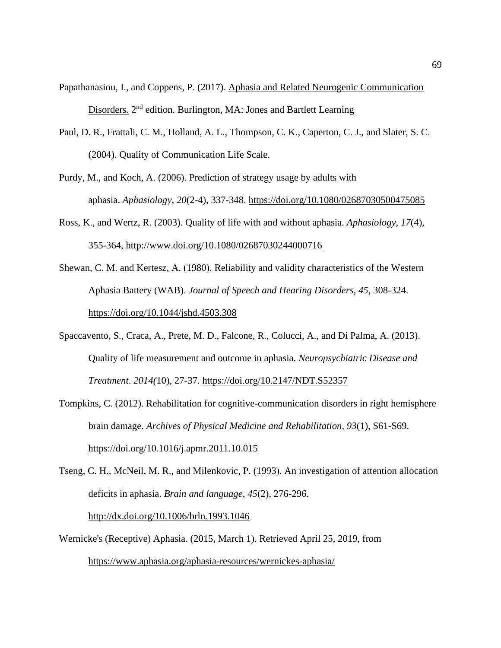- Papathanasiou, I., and Coppens, P. (2017). Aphasia and Related Neurogenic Communication Disorders. 2<sup>nd</sup> edition. Burlington, MA: Jones and Bartlett Learning
- Paul, D. R., Frattali, C. M., Holland, A. L., Thompson, C. K., Caperton, C. J., and Slater, S. C. (2004). Quality of Communication Life Scale.
- Purdy, M., and Koch, A. (2006). Prediction of strategy usage by adults with aphasia. *Aphasiology*, *20*(2-4), 337-348.<https://doi.org/10.1080/02687030500475085>
- Ross, K., and Wertz, R. (2003). Quality of life with and without aphasia. *Aphasiology, 17*(4), 355-364,<http://www.doi.org/10.1080/02687030244000716>
- Shewan, C. M. and Kertesz, A. (1980). Reliability and validity characteristics of the Western Aphasia Battery (WAB). *Journal of Speech and Hearing Disorders, 45*, 308-324. <https://doi.org/10.1044/jshd.4503.308>
- Spaccavento, S., Craca, A., Prete, M. D., Falcone, R., Colucci, A., and Di Palma, A. (2013). Quality of life measurement and outcome in aphasia. *Neuropsychiatric Disease and Treatment*. *2014(*10), 27-37.<https://doi.org/10.2147/NDT.S52357>
- Tompkins, C. (2012). Rehabilitation for cognitive-communication disorders in right hemisphere brain damage. *Archives of Physical Medicine and Rehabilitation, 93*(1), S61-S69. <https://doi.org/10.1016/j.apmr.2011.10.015>

Wernicke's (Receptive) Aphasia. (2015, March 1). Retrieved April 25, 2019, from

<https://www.aphasia.org/aphasia-resources/wernickes-aphasia/>

Tseng, C. H., McNeil, M. R., and Milenkovic, P. (1993). An investigation of attention allocation deficits in aphasia. *Brain and language*, *45*(2), 276-296. <http://dx.doi.org/10.1006/brln.1993.1046>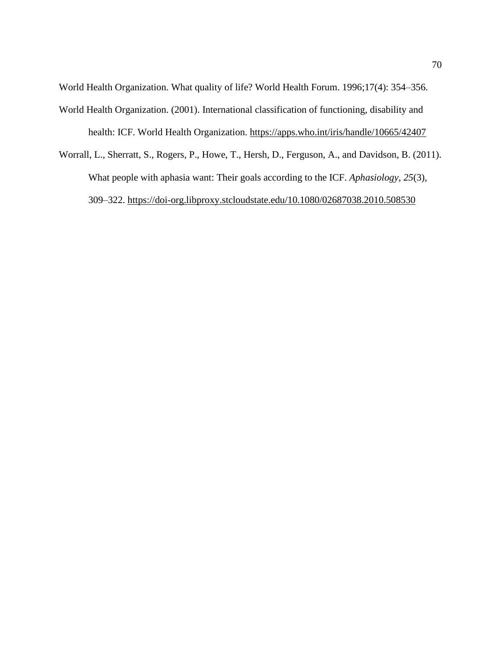World Health Organization. What quality of life? World Health Forum. 1996;17(4): 354–356. World Health Organization. (2001). International classification of functioning, disability and health: ICF. World Health Organization. <https://apps.who.int/iris/handle/10665/42407>

Worrall, L., Sherratt, S., Rogers, P., Howe, T., Hersh, D., Ferguson, A., and Davidson, B. (2011). What people with aphasia want: Their goals according to the ICF. *Aphasiology*, *25*(3), 309–322.<https://doi-org.libproxy.stcloudstate.edu/10.1080/02687038.2010.508530>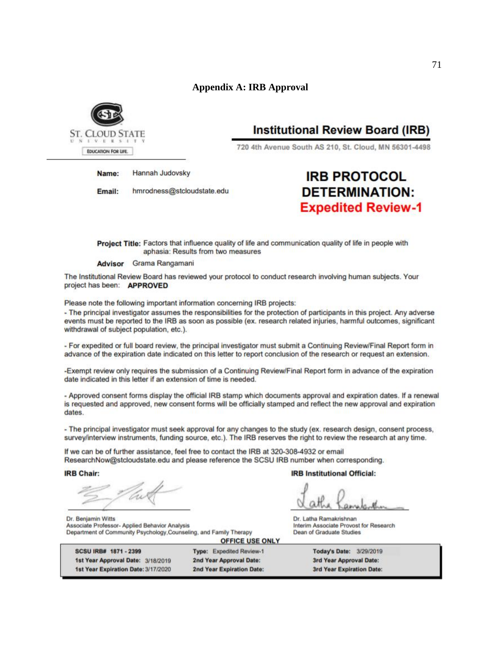## **Appendix A: IRB Approval**



## **Institutional Review Board (IRB)**

720 4th Avenue South AS 210, St. Cloud, MN 56301-4498

Hannah Judovsky Name:

hmrodness@stcloudstate.edu Email:

# **IRB PROTOCOL DETERMINATION: Expedited Review-1**

Project Title: Factors that influence quality of life and communication quality of life in people with aphasia: Results from two measures

Advisor Grama Rangamani

The Institutional Review Board has reviewed your protocol to conduct research involving human subjects. Your project has been: APPROVED

Please note the following important information concerning IRB projects:

- The principal investigator assumes the responsibilities for the protection of participants in this project. Any adverse events must be reported to the IRB as soon as possible (ex. research related injuries, harmful outcomes, significant withdrawal of subject population, etc.).

- For expedited or full board review, the principal investigator must submit a Continuing Review/Final Report form in advance of the expiration date indicated on this letter to report conclusion of the research or request an extension.

-Exempt review only requires the submission of a Continuing Review/Final Report form in advance of the expiration date indicated in this letter if an extension of time is needed.

- Approved consent forms display the official IRB stamp which documents approval and expiration dates. If a renewal is requested and approved, new consent forms will be officially stamped and reflect the new approval and expiration dates.

- The principal investigator must seek approval for any changes to the study (ex. research design, consent process, survey/interview instruments, funding source, etc.). The IRB reserves the right to review the research at any time.

**OFFICE USE ONLY** 

If we can be of further assistance, feel free to contact the IRB at 320-308-4932 or email ResearchNow@stcloudstate.edu and please reference the SCSU IRB number when corresponding.

**IRB Chair:** 

Dr. Benjamin Witts

Associate Professor- Applied Behavior Analysis

Department of Community Psychology, Counseling, and Family Therapy

**IRB Institutional Official:** 

Dr. Latha Ramakrishnan Interim Associate Provost for Research Dean of Graduate Studies

SCSU IRB# 1871 - 2399 1st Year Approval Date: 3/18/2019 1st Year Expiration Date: 3/17/2020 Type: Expedited Review-1 2nd Year Approval Date: 2nd Year Expiration Date:

Today's Date: 3/29/2019 3rd Year Approval Date: 3rd Year Expiration Date: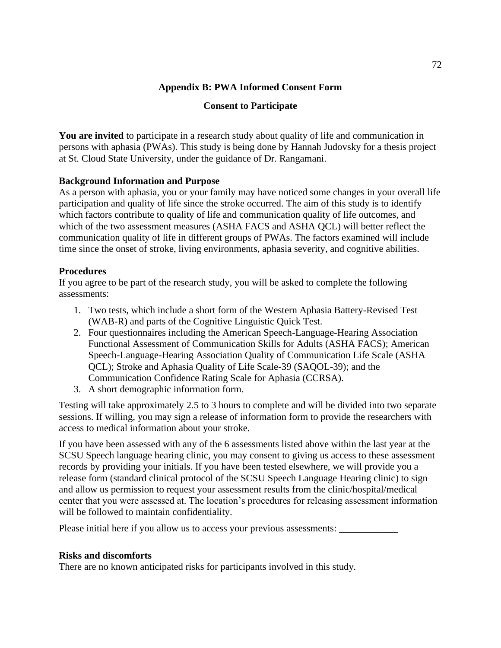#### **Appendix B: PWA Informed Consent Form**

#### **Consent to Participate**

**You are invited** to participate in a research study about quality of life and communication in persons with aphasia (PWAs). This study is being done by Hannah Judovsky for a thesis project at St. Cloud State University, under the guidance of Dr. Rangamani.

#### **Background Information and Purpose**

As a person with aphasia, you or your family may have noticed some changes in your overall life participation and quality of life since the stroke occurred. The aim of this study is to identify which factors contribute to quality of life and communication quality of life outcomes, and which of the two assessment measures (ASHA FACS and ASHA QCL) will better reflect the communication quality of life in different groups of PWAs. The factors examined will include time since the onset of stroke, living environments, aphasia severity, and cognitive abilities.

#### **Procedures**

If you agree to be part of the research study, you will be asked to complete the following assessments:

- 1. Two tests, which include a short form of the Western Aphasia Battery-Revised Test (WAB-R) and parts of the Cognitive Linguistic Quick Test.
- 2. Four questionnaires including the American Speech-Language-Hearing Association Functional Assessment of Communication Skills for Adults (ASHA FACS); American Speech-Language-Hearing Association Quality of Communication Life Scale (ASHA QCL); Stroke and Aphasia Quality of Life Scale-39 (SAQOL-39); and the Communication Confidence Rating Scale for Aphasia (CCRSA).
- 3. A short demographic information form.

Testing will take approximately 2.5 to 3 hours to complete and will be divided into two separate sessions. If willing, you may sign a release of information form to provide the researchers with access to medical information about your stroke.

If you have been assessed with any of the 6 assessments listed above within the last year at the SCSU Speech language hearing clinic, you may consent to giving us access to these assessment records by providing your initials. If you have been tested elsewhere, we will provide you a release form (standard clinical protocol of the SCSU Speech Language Hearing clinic) to sign and allow us permission to request your assessment results from the clinic/hospital/medical center that you were assessed at. The location's procedures for releasing assessment information will be followed to maintain confidentiality.

Please initial here if you allow us to access your previous assessments: \_\_\_\_\_\_\_\_\_\_\_\_

#### **Risks and discomforts**

There are no known anticipated risks for participants involved in this study.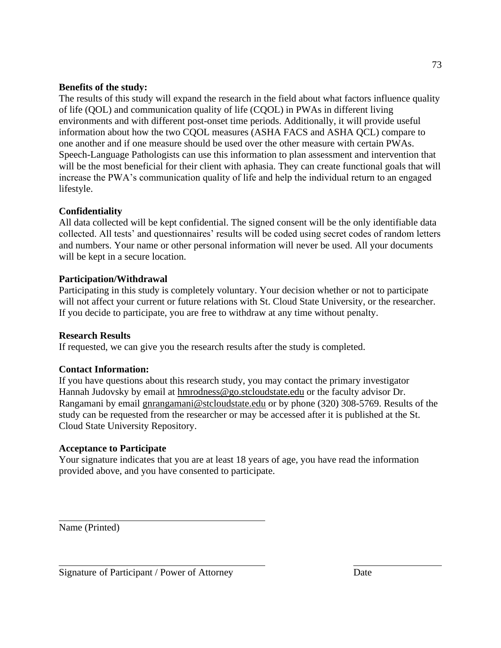#### **Benefits of the study:**

The results of this study will expand the research in the field about what factors influence quality of life (QOL) and communication quality of life (CQOL) in PWAs in different living environments and with different post-onset time periods. Additionally, it will provide useful information about how the two CQOL measures (ASHA FACS and ASHA QCL) compare to one another and if one measure should be used over the other measure with certain PWAs. Speech-Language Pathologists can use this information to plan assessment and intervention that will be the most beneficial for their client with aphasia. They can create functional goals that will increase the PWA's communication quality of life and help the individual return to an engaged lifestyle.

#### **Confidentiality**

All data collected will be kept confidential. The signed consent will be the only identifiable data collected. All tests' and questionnaires' results will be coded using secret codes of random letters and numbers. Your name or other personal information will never be used. All your documents will be kept in a secure location.

#### **Participation/Withdrawal**

Participating in this study is completely voluntary. Your decision whether or not to participate will not affect your current or future relations with St. Cloud State University, or the researcher. If you decide to participate, you are free to withdraw at any time without penalty.

#### **Research Results**

If requested, we can give you the research results after the study is completed.

#### **Contact Information:**

If you have questions about this research study, you may contact the primary investigator Hannah Judovsky by email at [hmrodness@go.stcloudstate.edu](mailto:hmrodness@go.stcloudstate.edu) or the faculty advisor Dr. Rangamani by email [gnrangamani@stcloudstate.edu](mailto:gnrangamani@stcloudstate.edu) or by phone (320) 308-5769. Results of the study can be requested from the researcher or may be accessed after it is published at the St. Cloud State University Repository.

#### **Acceptance to Participate**

Your signature indicates that you are at least 18 years of age, you have read the information provided above, and you have consented to participate.

Name (Printed)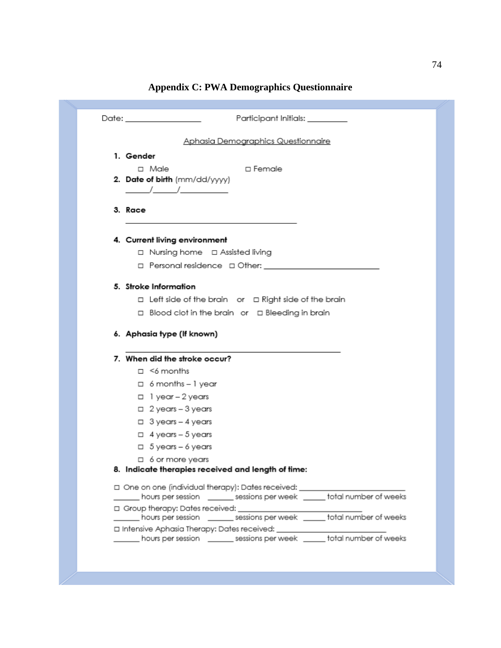| Participant Initials: ________<br>Date: ________________                        |
|---------------------------------------------------------------------------------|
| Aphasia Demographics Questionnaire                                              |
| 1. Gender                                                                       |
| $\Box$ Male<br>□ Female                                                         |
| 2. Date of birth (mm/dd/yyyy)                                                   |
|                                                                                 |
| 3. Race                                                                         |
| 4. Current living environment                                                   |
| □ Nursing home □ Assisted living                                                |
|                                                                                 |
| 5. Stroke Information                                                           |
| $\Box$ Left side of the brain or $\Box$ Right side of the brain                 |
| □ Blood clot in the brain or □ Bleeding in brain                                |
|                                                                                 |
| 6. Aphasia type (If known)                                                      |
|                                                                                 |
| 7. When did the stroke occur?                                                   |
| $\Box$ <6 months                                                                |
| $\Box$ 6 months - 1 year                                                        |
| $\Box$ 1 year - 2 years                                                         |
| $\Box$ 2 years - 3 years                                                        |
| $\Box$ 3 years - 4 years                                                        |
| $\Box$ 4 years - 5 years                                                        |
| $\Box$ 5 years - 6 years                                                        |
| $\Box$ 6 or more years                                                          |
| 8. Indicate therapies received and length of time:                              |
| □ One on one (individual therapy): Dates received: ____________________________ |
| ____ hours per session _______ sessions per week _____ total number of weeks    |
|                                                                                 |
| hours per session ________ sessions per week ______ total number of weeks       |

## **Appendix C: PWA Demographics Questionnaire**